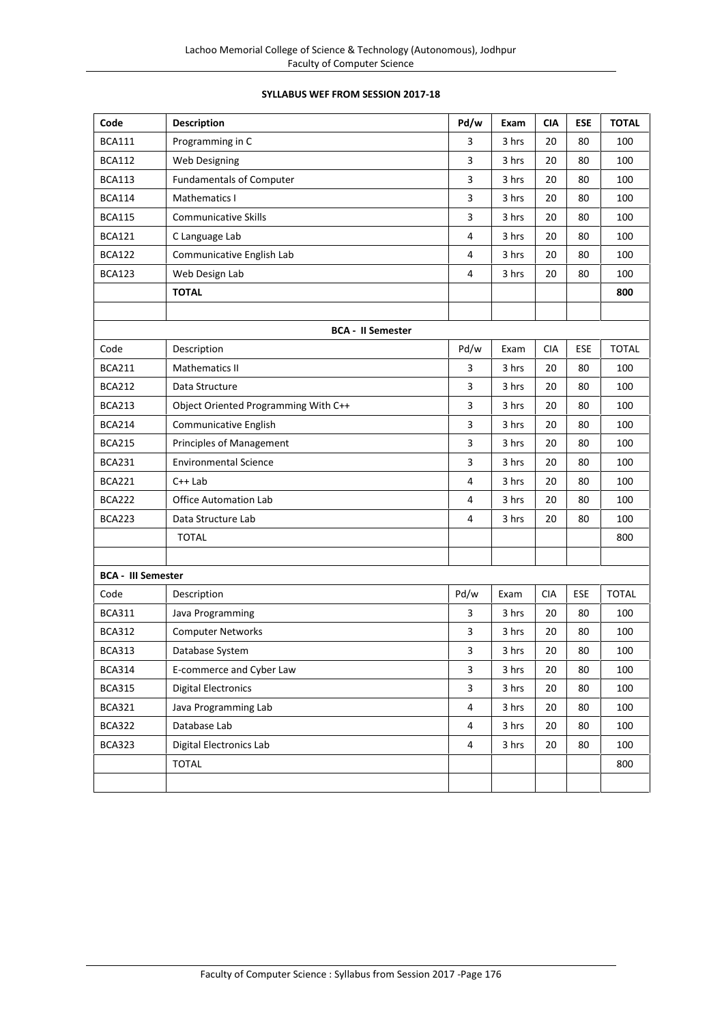# **SYLLABUS WEF FROM SESSION 2017-18**

| Code                      | <b>Description</b>                   | Pd/w | Exam  | <b>CIA</b> | <b>ESE</b> | <b>TOTAL</b> |
|---------------------------|--------------------------------------|------|-------|------------|------------|--------------|
| <b>BCA111</b>             | Programming in C                     | 3    | 3 hrs | 20         | 80         | 100          |
| <b>BCA112</b>             | Web Designing                        | 3    | 3 hrs | 20         | 80         | 100          |
| <b>BCA113</b>             | <b>Fundamentals of Computer</b>      | 3    | 3 hrs | 20         | 80         | 100          |
| <b>BCA114</b>             | Mathematics I                        | 3    | 3 hrs | 20         | 80         | 100          |
| <b>BCA115</b>             | <b>Communicative Skills</b>          | 3    | 3 hrs | 20         | 80         | 100          |
| <b>BCA121</b>             | C Language Lab                       | 4    | 3 hrs | 20         | 80         | 100          |
| <b>BCA122</b>             | Communicative English Lab            | 4    | 3 hrs | 20         | 80         | 100          |
| <b>BCA123</b>             | Web Design Lab                       | 4    | 3 hrs | 20         | 80         | 100          |
|                           | <b>TOTAL</b>                         |      |       |            |            | 800          |
|                           |                                      |      |       |            |            |              |
|                           | <b>BCA - II Semester</b>             |      |       |            |            |              |
| Code                      | Description                          | Pd/w | Exam  | <b>CIA</b> | <b>ESE</b> | <b>TOTAL</b> |
| <b>BCA211</b>             | <b>Mathematics II</b>                | 3    | 3 hrs | 20         | 80         | 100          |
| <b>BCA212</b>             | Data Structure                       | 3    | 3 hrs | 20         | 80         | 100          |
| <b>BCA213</b>             | Object Oriented Programming With C++ | 3    | 3 hrs | 20         | 80         | 100          |
| <b>BCA214</b>             | Communicative English                | 3    | 3 hrs | 20         | 80         | 100          |
| <b>BCA215</b>             | Principles of Management             | 3    | 3 hrs | 20         | 80         | 100          |
| <b>BCA231</b>             | <b>Environmental Science</b>         | 3    | 3 hrs | 20         | 80         | 100          |
| <b>BCA221</b>             | $C++$ Lab                            | 4    | 3 hrs | 20         | 80         | 100          |
| <b>BCA222</b>             | <b>Office Automation Lab</b>         | 4    | 3 hrs | 20         | 80         | 100          |
| <b>BCA223</b>             | Data Structure Lab                   | 4    | 3 hrs | 20         | 80         | 100          |
|                           | <b>TOTAL</b>                         |      |       |            |            | 800          |
|                           |                                      |      |       |            |            |              |
| <b>BCA - III Semester</b> |                                      |      |       |            |            |              |
| Code                      | Description                          | Pd/w | Exam  | <b>CIA</b> | ESE        | <b>TOTAL</b> |
| <b>BCA311</b>             | Java Programming                     | 3    | 3 hrs | 20         | 80         | 100          |
| <b>BCA312</b>             | <b>Computer Networks</b>             | 3    | 3 hrs | 20         | 80         | 100          |
| <b>BCA313</b>             | Database System                      | 3    | 3 hrs | 20         | 80         | 100          |
| <b>BCA314</b>             | E-commerce and Cyber Law             | 3    | 3 hrs | 20         | 80         | 100          |
| <b>BCA315</b>             | <b>Digital Electronics</b>           | 3    | 3 hrs | 20         | 80         | 100          |
| <b>BCA321</b>             | Java Programming Lab                 | 4    | 3 hrs | 20         | 80         | 100          |
| <b>BCA322</b>             | Database Lab                         | 4    | 3 hrs | 20         | 80         | 100          |
| <b>BCA323</b>             | Digital Electronics Lab              | 4    | 3 hrs | 20         | 80         | 100          |
|                           | <b>TOTAL</b>                         |      |       |            |            | 800          |
|                           |                                      |      |       |            |            |              |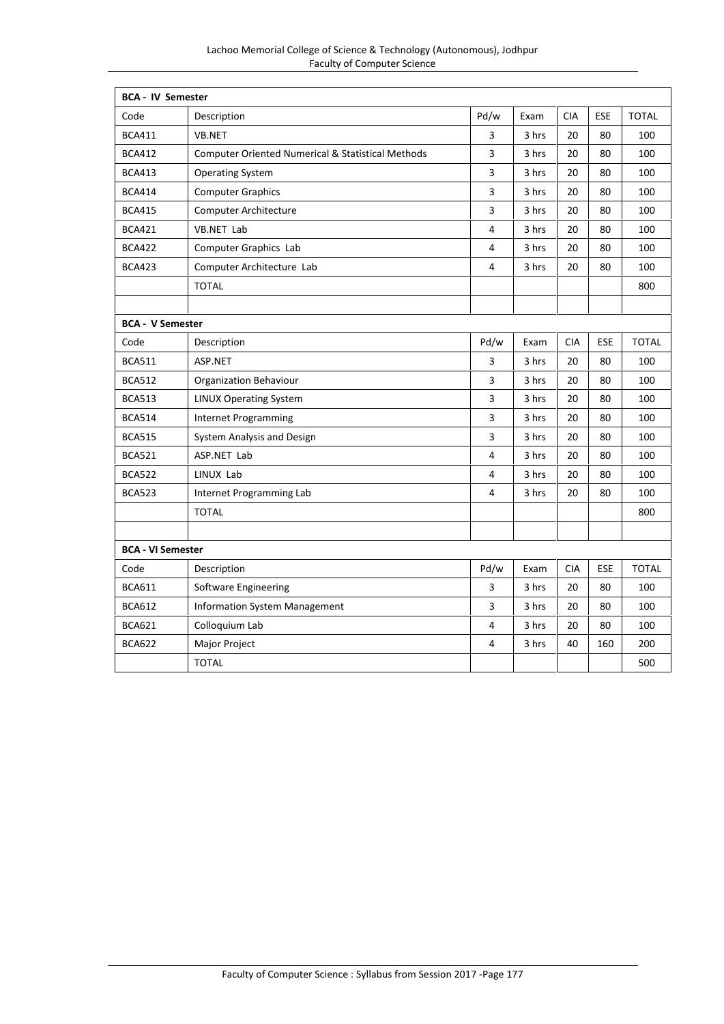| <b>BCA - IV Semester</b> |                                                              |                |       |            |            |              |
|--------------------------|--------------------------------------------------------------|----------------|-------|------------|------------|--------------|
| Code                     | Description                                                  | Pd/w           | Exam  | <b>CIA</b> | <b>ESE</b> | <b>TOTAL</b> |
| <b>BCA411</b>            | VB.NET                                                       | 3              | 3 hrs | 20         | 80         | 100          |
| <b>BCA412</b>            | <b>Computer Oriented Numerical &amp; Statistical Methods</b> | 3              | 3 hrs | 20         | 80         | 100          |
| <b>BCA413</b>            | <b>Operating System</b>                                      | 3              | 3 hrs | 20         | 80         | 100          |
| <b>BCA414</b>            | <b>Computer Graphics</b>                                     | 3              | 3 hrs | 20         | 80         | 100          |
| <b>BCA415</b>            | Computer Architecture                                        | 3              | 3 hrs | 20         | 80         | 100          |
| <b>BCA421</b>            | <b>VB.NET Lab</b>                                            | 4              | 3 hrs | 20         | 80         | 100          |
| <b>BCA422</b>            | Computer Graphics Lab                                        | 4              | 3 hrs | 20         | 80         | 100          |
| <b>BCA423</b>            | Computer Architecture Lab                                    | 4              | 3 hrs | 20         | 80         | 100          |
|                          | <b>TOTAL</b>                                                 |                |       |            |            | 800          |
|                          |                                                              |                |       |            |            |              |
| <b>BCA - V Semester</b>  |                                                              |                |       |            |            |              |
| Code                     | Description                                                  | Pd/w           | Exam  | <b>CIA</b> | ESE        | <b>TOTAL</b> |
| <b>BCA511</b>            | ASP.NET                                                      | 3              | 3 hrs | 20         | 80         | 100          |
| <b>BCA512</b>            | <b>Organization Behaviour</b>                                | 3              | 3 hrs | 20         | 80         | 100          |
| <b>BCA513</b>            | <b>LINUX Operating System</b>                                | 3              | 3 hrs | 20         | 80         | 100          |
| <b>BCA514</b>            | <b>Internet Programming</b>                                  | 3              | 3 hrs | 20         | 80         | 100          |
| <b>BCA515</b>            | System Analysis and Design                                   | 3              | 3 hrs | 20         | 80         | 100          |
| <b>BCA521</b>            | ASP.NET Lab                                                  | 4              | 3 hrs | 20         | 80         | 100          |
| <b>BCA522</b>            | LINUX Lab                                                    | 4              | 3 hrs | 20         | 80         | 100          |
| <b>BCA523</b>            | Internet Programming Lab                                     | $\overline{4}$ | 3 hrs | 20         | 80         | 100          |
|                          | <b>TOTAL</b>                                                 |                |       |            |            | 800          |
|                          |                                                              |                |       |            |            |              |
| <b>BCA - VI Semester</b> |                                                              |                |       |            |            |              |
| Code                     | Description                                                  | Pd/w           | Exam  | <b>CIA</b> | ESE        | <b>TOTAL</b> |
| <b>BCA611</b>            | Software Engineering                                         | 3              | 3 hrs | 20         | 80         | 100          |
| <b>BCA612</b>            | <b>Information System Management</b>                         | 3              | 3 hrs | 20         | 80         | 100          |
| <b>BCA621</b>            | Colloquium Lab                                               | 4              | 3 hrs | 20         | 80         | 100          |
| <b>BCA622</b>            | Major Project                                                | 4              | 3 hrs | 40         | 160        | 200          |
|                          | <b>TOTAL</b>                                                 |                |       |            |            | 500          |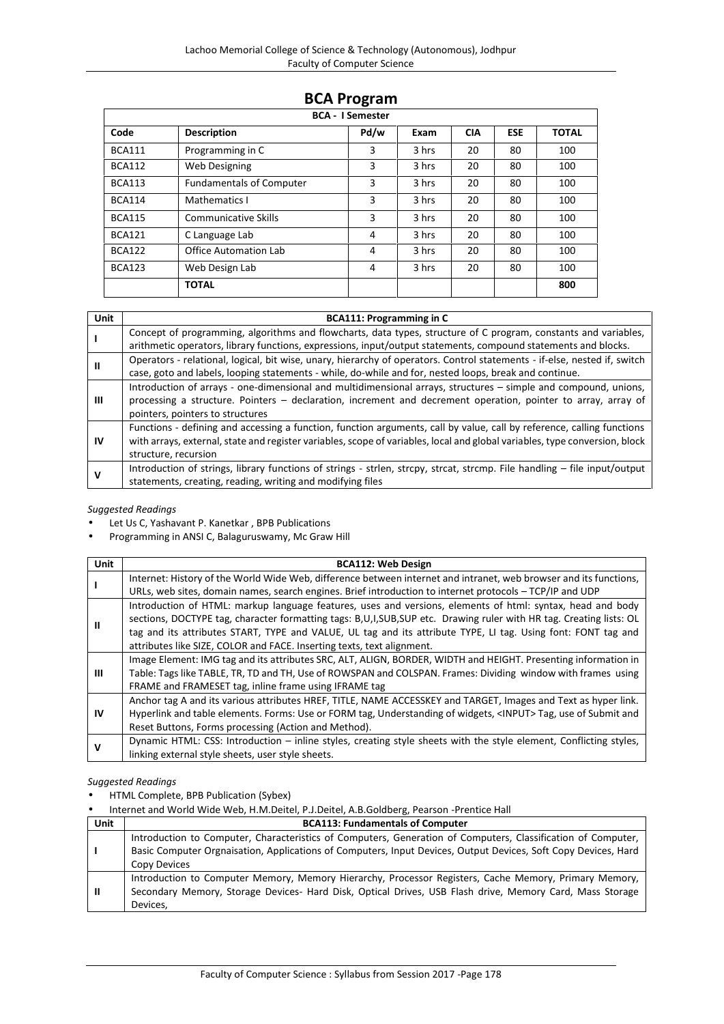# **BCA Program**

|               | <b>BCA - I Semester</b>         |      |       |            |            |              |
|---------------|---------------------------------|------|-------|------------|------------|--------------|
| Code          | <b>Description</b>              | Pd/w | Exam  | <b>CIA</b> | <b>ESE</b> | <b>TOTAL</b> |
| <b>BCA111</b> | Programming in C                | 3    | 3 hrs | 20         | 80         | 100          |
| <b>BCA112</b> | Web Designing                   | 3    | 3 hrs | 20         | 80         | 100          |
| <b>BCA113</b> | <b>Fundamentals of Computer</b> | 3    | 3 hrs | 20         | 80         | 100          |
| <b>BCA114</b> | Mathematics I                   | 3    | 3 hrs | 20         | 80         | 100          |
| <b>BCA115</b> | <b>Communicative Skills</b>     | 3    | 3 hrs | 20         | 80         | 100          |
| <b>BCA121</b> | C Language Lab                  | 4    | 3 hrs | 20         | 80         | 100          |
| <b>BCA122</b> | Office Automation Lab           | 4    | 3 hrs | 20         | 80         | 100          |
| <b>BCA123</b> | Web Design Lab                  | 4    | 3 hrs | 20         | 80         | 100          |
|               | <b>TOTAL</b>                    |      |       |            |            | 800          |

| <b>Unit</b> | <b>BCA111: Programming in C</b>                                                                                                                                                                                                                                               |
|-------------|-------------------------------------------------------------------------------------------------------------------------------------------------------------------------------------------------------------------------------------------------------------------------------|
|             | Concept of programming, algorithms and flowcharts, data types, structure of C program, constants and variables,<br>arithmetic operators, library functions, expressions, input/output statements, compound statements and blocks.                                             |
| Ш           | Operators - relational, logical, bit wise, unary, hierarchy of operators. Control statements - if-else, nested if, switch<br>case, goto and labels, looping statements - while, do-while and for, nested loops, break and continue.                                           |
| Ш           | Introduction of arrays - one-dimensional and multidimensional arrays, structures - simple and compound, unions,<br>processing a structure. Pointers - declaration, increment and decrement operation, pointer to array, array of<br>pointers, pointers to structures          |
| IV          | Functions - defining and accessing a function, function arguments, call by value, call by reference, calling functions<br>with arrays, external, state and register variables, scope of variables, local and global variables, type conversion, block<br>structure, recursion |
| v           | Introduction of strings, library functions of strings - strlen, strcpy, strcat, strcmp. File handling – file input/output<br>statements, creating, reading, writing and modifying files                                                                                       |

#### *Suggested Readings*

- Let Us C, Yashavant P. Kanetkar , BPB Publications
- Programming in ANSI C, Balaguruswamy, Mc Graw Hill

| <b>Unit</b> | <b>BCA112: Web Design</b>                                                                                          |
|-------------|--------------------------------------------------------------------------------------------------------------------|
|             | Internet: History of the World Wide Web, difference between internet and intranet, web browser and its functions,  |
|             | URLs, web sites, domain names, search engines. Brief introduction to internet protocols - TCP/IP and UDP           |
|             | Introduction of HTML: markup language features, uses and versions, elements of html: syntax, head and body         |
| Ш           | sections, DOCTYPE tag, character formatting tags: B,U,I,SUB,SUP etc. Drawing ruler with HR tag. Creating lists: OL |
|             | tag and its attributes START, TYPE and VALUE, UL tag and its attribute TYPE, LI tag. Using font: FONT tag and      |
|             | attributes like SIZE, COLOR and FACE. Inserting texts, text alignment.                                             |
|             | Image Element: IMG tag and its attributes SRC, ALT, ALIGN, BORDER, WIDTH and HEIGHT. Presenting information in     |
| Ш           | Table: Tags like TABLE, TR, TD and TH, Use of ROWSPAN and COLSPAN. Frames: Dividing window with frames using       |
|             | FRAME and FRAMESET tag, inline frame using IFRAME tag                                                              |
|             | Anchor tag A and its various attributes HREF, TITLE, NAME ACCESSKEY and TARGET, Images and Text as hyper link.     |
| IV          | Hyperlink and table elements. Forms: Use or FORM tag, Understanding of widgets, <input/> Tag, use of Submit and    |
|             | Reset Buttons, Forms processing (Action and Method).                                                               |
| v           | Dynamic HTML: CSS: Introduction – inline styles, creating style sheets with the style element, Conflicting styles, |
|             | linking external style sheets, user style sheets.                                                                  |

#### *Suggested Readings*

HTML Complete, BPB Publication (Sybex)

Internet and World Wide Web, H.M.Deitel, P.J.Deitel, A.B.Goldberg, Pearson -Prentice Hall

| <b>Unit</b> | <b>BCA113: Fundamentals of Computer</b>                                                                        |
|-------------|----------------------------------------------------------------------------------------------------------------|
|             | Introduction to Computer, Characteristics of Computers, Generation of Computers, Classification of Computer,   |
|             | Basic Computer Orgnaisation, Applications of Computers, Input Devices, Output Devices, Soft Copy Devices, Hard |
|             | Copy Devices                                                                                                   |
| Ш           | Introduction to Computer Memory, Memory Hierarchy, Processor Registers, Cache Memory, Primary Memory,          |
|             | Secondary Memory, Storage Devices- Hard Disk, Optical Drives, USB Flash drive, Memory Card, Mass Storage       |
|             | Devices.                                                                                                       |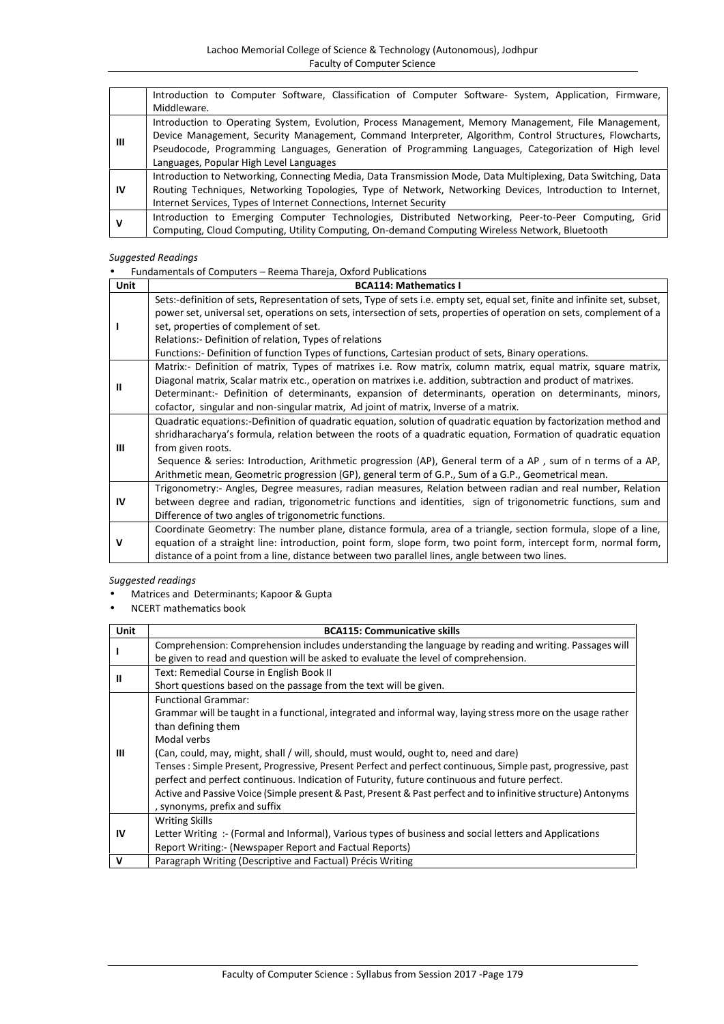|    | Introduction to Computer Software, Classification of Computer Software- System, Application, Firmware,        |
|----|---------------------------------------------------------------------------------------------------------------|
|    | Middleware.                                                                                                   |
|    | Introduction to Operating System, Evolution, Process Management, Memory Management, File Management,          |
|    | Device Management, Security Management, Command Interpreter, Algorithm, Control Structures, Flowcharts,       |
| ш  | Pseudocode, Programming Languages, Generation of Programming Languages, Categorization of High level          |
|    | Languages, Popular High Level Languages                                                                       |
|    | Introduction to Networking, Connecting Media, Data Transmission Mode, Data Multiplexing, Data Switching, Data |
| IV | Routing Techniques, Networking Topologies, Type of Network, Networking Devices, Introduction to Internet,     |
|    | Internet Services, Types of Internet Connections, Internet Security                                           |
| v  | Introduction to Emerging Computer Technologies, Distributed Networking, Peer-to-Peer Computing, Grid          |
|    | Computing, Cloud Computing, Utility Computing, On-demand Computing Wireless Network, Bluetooth                |

Fundamentals of Computers – Reema Thareja, Oxford Publications

| Unit | <b>BCA114: Mathematics I</b>                                                                                                                                                                                                                                                                                                                                                                                                                                                   |
|------|--------------------------------------------------------------------------------------------------------------------------------------------------------------------------------------------------------------------------------------------------------------------------------------------------------------------------------------------------------------------------------------------------------------------------------------------------------------------------------|
|      | Sets:-definition of sets, Representation of sets, Type of sets i.e. empty set, equal set, finite and infinite set, subset,<br>power set, universal set, operations on sets, intersection of sets, properties of operation on sets, complement of a<br>set, properties of complement of set.<br>Relations: - Definition of relation, Types of relations<br>Functions:- Definition of function Types of functions, Cartesian product of sets, Binary operations.                 |
|      | Matrix:- Definition of matrix, Types of matrixes i.e. Row matrix, column matrix, equal matrix, square matrix,<br>Diagonal matrix, Scalar matrix etc., operation on matrixes i.e. addition, subtraction and product of matrixes.<br>Determinant:- Definition of determinants, expansion of determinants, operation on determinants, minors,<br>cofactor, singular and non-singular matrix, Ad joint of matrix, Inverse of a matrix.                                             |
| Ш    | Quadratic equations:-Definition of quadratic equation, solution of quadratic equation by factorization method and<br>shridharacharya's formula, relation between the roots of a quadratic equation, Formation of quadratic equation<br>from given roots.<br>Sequence & series: Introduction, Arithmetic progression (AP), General term of a AP, sum of n terms of a AP,<br>Arithmetic mean, Geometric progression (GP), general term of G.P., Sum of a G.P., Geometrical mean. |
| IV   | Trigonometry:- Angles, Degree measures, radian measures, Relation between radian and real number, Relation<br>between degree and radian, trigonometric functions and identities, sign of trigonometric functions, sum and<br>Difference of two angles of trigonometric functions.                                                                                                                                                                                              |
| ν    | Coordinate Geometry: The number plane, distance formula, area of a triangle, section formula, slope of a line,<br>equation of a straight line: introduction, point form, slope form, two point form, intercept form, normal form,<br>distance of a point from a line, distance between two parallel lines, angle between two lines.                                                                                                                                            |

# *Suggested readings*

Matrices and Determinants; Kapoor & Gupta

NCERT mathematics book

| Unit        | <b>BCA115: Communicative skills</b>                                                                                                                                                                          |
|-------------|--------------------------------------------------------------------------------------------------------------------------------------------------------------------------------------------------------------|
|             | Comprehension: Comprehension includes understanding the language by reading and writing. Passages will                                                                                                       |
|             | be given to read and question will be asked to evaluate the level of comprehension.                                                                                                                          |
| Ш           | Text: Remedial Course in English Book II                                                                                                                                                                     |
|             | Short questions based on the passage from the text will be given.                                                                                                                                            |
|             | <b>Functional Grammar:</b>                                                                                                                                                                                   |
|             | Grammar will be taught in a functional, integrated and informal way, laying stress more on the usage rather                                                                                                  |
|             | than defining them                                                                                                                                                                                           |
|             | Modal verbs                                                                                                                                                                                                  |
| Ш           | (Can, could, may, might, shall / will, should, must would, ought to, need and dare)                                                                                                                          |
|             | Tenses: Simple Present, Progressive, Present Perfect and perfect continuous, Simple past, progressive, past<br>perfect and perfect continuous. Indication of Futurity, future continuous and future perfect. |
|             | Active and Passive Voice (Simple present & Past, Present & Past perfect and to infinitive structure) Antonyms<br>, synonyms, prefix and suffix                                                               |
|             | <b>Writing Skills</b>                                                                                                                                                                                        |
| IV          | Letter Writing: - (Formal and Informal), Various types of business and social letters and Applications                                                                                                       |
|             | Report Writing:- (Newspaper Report and Factual Reports)                                                                                                                                                      |
| $\mathbf v$ | Paragraph Writing (Descriptive and Factual) Précis Writing                                                                                                                                                   |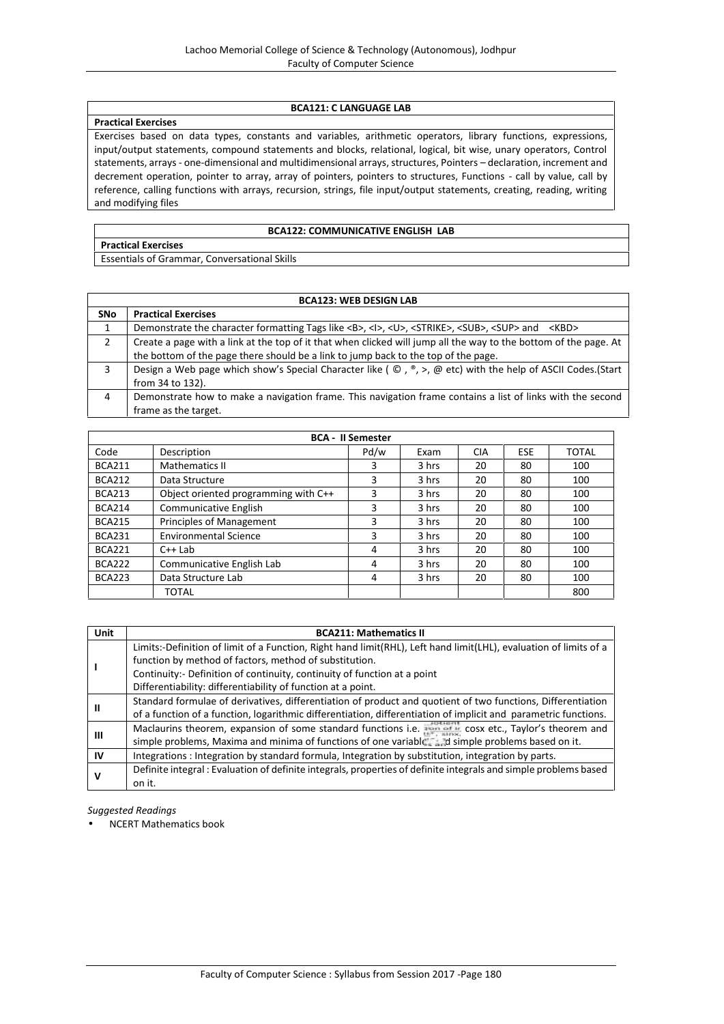#### **BCA121: C LANGUAGE LAB**

### **Practical Exercises**

Exercises based on data types, constants and variables, arithmetic operators, library functions, expressions, input/output statements, compound statements and blocks, relational, logical, bit wise, unary operators, Control statements, arrays - one-dimensional and multidimensional arrays, structures, Pointers – declaration, increment and decrement operation, pointer to array, array of pointers, pointers to structures, Functions - call by value, call by reference, calling functions with arrays, recursion, strings, file input/output statements, creating, reading, writing and modifying files

#### **BCA122: COMMUNICATIVE ENGLISH LAB**

**Practical Exercises**

Essentials of Grammar, Conversational Skills

|            | <b>BCA123: WEB DESIGN LAB</b>                                                                                                                      |  |  |  |  |
|------------|----------------------------------------------------------------------------------------------------------------------------------------------------|--|--|--|--|
| <b>SNo</b> | <b>Practical Exercises</b>                                                                                                                         |  |  |  |  |
|            | Demonstrate the character formatting Tags like <b>, <l>, <u>, <strike>, <sub>, <sup> and &lt;<br/>KBD&gt;</sup></sub></strike></u></l></b>         |  |  |  |  |
|            | Create a page with a link at the top of it that when clicked will jump all the way to the bottom of the page. At                                   |  |  |  |  |
|            | the bottom of the page there should be a link to jump back to the top of the page.                                                                 |  |  |  |  |
| 3          | Design a Web page which show's Special Character like ( $\mathbb{O}$ , $\mathbb{P}$ , $>$ , $\mathbb{O}$ etc) with the help of ASCII Codes. (Start |  |  |  |  |
|            | from 34 to 132).                                                                                                                                   |  |  |  |  |
| 4          | Demonstrate how to make a navigation frame. This navigation frame contains a list of links with the second                                         |  |  |  |  |
|            | frame as the target.                                                                                                                               |  |  |  |  |

|               |                                      | <b>BCA - II Semester</b> |       |            |     |              |
|---------------|--------------------------------------|--------------------------|-------|------------|-----|--------------|
| Code          | Description                          | Pd/w                     | Exam  | <b>CIA</b> | ESE | <b>TOTAL</b> |
| <b>BCA211</b> | <b>Mathematics II</b>                | 3                        | 3 hrs | 20         | 80  | 100          |
| <b>BCA212</b> | Data Structure                       | 3                        | 3 hrs | 20         | 80  | 100          |
| <b>BCA213</b> | Object oriented programming with C++ | 3                        | 3 hrs | 20         | 80  | 100          |
| <b>BCA214</b> | <b>Communicative English</b>         | 3                        | 3 hrs | 20         | 80  | 100          |
| <b>BCA215</b> | Principles of Management             | 3                        | 3 hrs | 20         | 80  | 100          |
| <b>BCA231</b> | <b>Environmental Science</b>         | 3                        | 3 hrs | 20         | 80  | 100          |
| <b>BCA221</b> | $C++$ Lab                            | 4                        | 3 hrs | 20         | 80  | 100          |
| <b>BCA222</b> | Communicative English Lab            | 4                        | 3 hrs | 20         | 80  | 100          |
| <b>BCA223</b> | Data Structure Lab                   | 4                        | 3 hrs | 20         | 80  | 100          |
|               | TOTAL                                |                          |       |            |     | 800          |

| Unit | <b>BCA211: Mathematics II</b>                                                                                     |
|------|-------------------------------------------------------------------------------------------------------------------|
|      | Limits:-Definition of limit of a Function, Right hand limit(RHL), Left hand limit(LHL), evaluation of limits of a |
|      | function by method of factors, method of substitution.                                                            |
|      | Continuity:- Definition of continuity, continuity of function at a point                                          |
|      | Differentiability: differentiability of function at a point.                                                      |
|      | Standard formulae of derivatives, differentiation of product and quotient of two functions, Differentiation       |
| Ш    | of a function of a function, logarithmic differentiation, differentiation of implicit and parametric functions.   |
| Ш    | Maclaurins theorem, expansion of some standard functions i.e. The case etc., Taylor's theorem and                 |
|      | simple problems, Maxima and minima of functions of one variable and simple problems based on it.                  |
| IV   | Integrations : Integration by standard formula, Integration by substitution, integration by parts.                |
| ν    | Definite integral : Evaluation of definite integrals, properties of definite integrals and simple problems based  |
|      | on it.                                                                                                            |

*Suggested Readings*

NCERT Mathematics book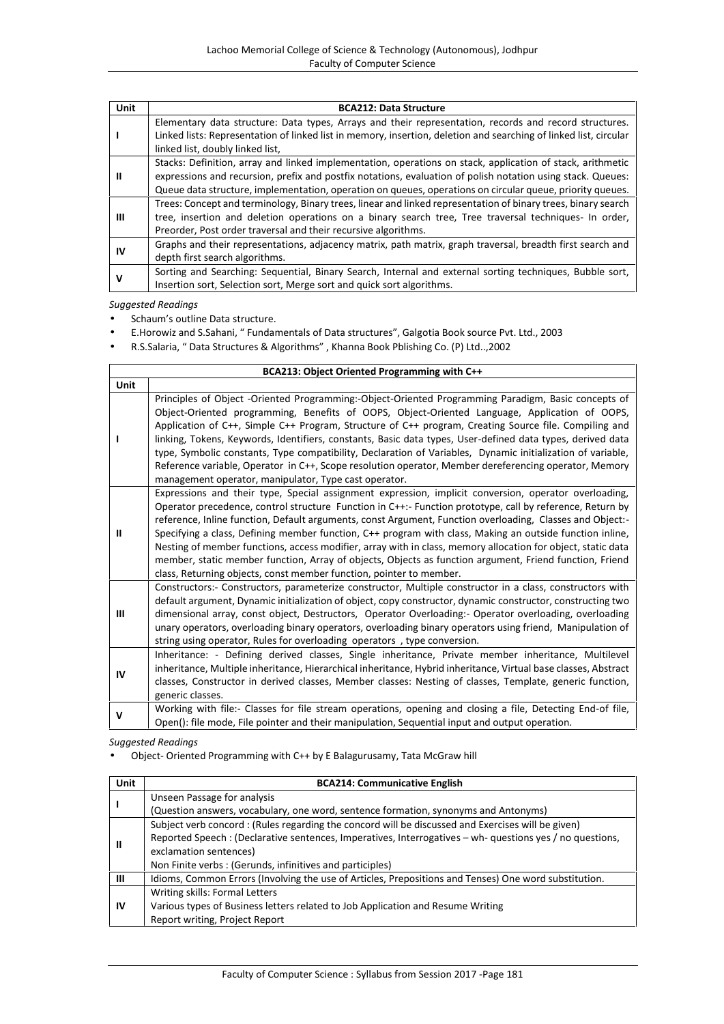| Unit | <b>BCA212: Data Structure</b>                                                                                     |
|------|-------------------------------------------------------------------------------------------------------------------|
|      | Elementary data structure: Data types, Arrays and their representation, records and record structures.            |
|      | Linked lists: Representation of linked list in memory, insertion, deletion and searching of linked list, circular |
|      | linked list, doubly linked list,                                                                                  |
|      | Stacks: Definition, array and linked implementation, operations on stack, application of stack, arithmetic        |
| Ш    | expressions and recursion, prefix and postfix notations, evaluation of polish notation using stack. Queues:       |
|      | Queue data structure, implementation, operation on queues, operations on circular queue, priority queues.         |
|      | Trees: Concept and terminology, Binary trees, linear and linked representation of binary trees, binary search     |
| Ш    | tree, insertion and deletion operations on a binary search tree, Tree traversal techniques- In order,             |
|      | Preorder, Post order traversal and their recursive algorithms.                                                    |
| IV   | Graphs and their representations, adjacency matrix, path matrix, graph traversal, breadth first search and        |
|      | depth first search algorithms.                                                                                    |
| v    | Sorting and Searching: Sequential, Binary Search, Internal and external sorting techniques, Bubble sort,          |
|      | Insertion sort, Selection sort, Merge sort and quick sort algorithms.                                             |

Schaum's outline Data structure.

E.Horowiz and S.Sahani, " Fundamentals of Data structures", Galgotia Book source Pvt. Ltd., 2003

R.S.Salaria, " Data Structures & Algorithms" , Khanna Book Pblishing Co. (P) Ltd..,2002

| BCA213: Object Oriented Programming with C++ |                                                                                                                                                                                                                                                                                                                                                                                                                                                                                                                                                                                                                                                                                                                                               |  |  |  |
|----------------------------------------------|-----------------------------------------------------------------------------------------------------------------------------------------------------------------------------------------------------------------------------------------------------------------------------------------------------------------------------------------------------------------------------------------------------------------------------------------------------------------------------------------------------------------------------------------------------------------------------------------------------------------------------------------------------------------------------------------------------------------------------------------------|--|--|--|
| Unit                                         |                                                                                                                                                                                                                                                                                                                                                                                                                                                                                                                                                                                                                                                                                                                                               |  |  |  |
|                                              | Principles of Object -Oriented Programming:-Object-Oriented Programming Paradigm, Basic concepts of<br>Object-Oriented programming, Benefits of OOPS, Object-Oriented Language, Application of OOPS,<br>Application of C++, Simple C++ Program, Structure of C++ program, Creating Source file. Compiling and<br>linking, Tokens, Keywords, Identifiers, constants, Basic data types, User-defined data types, derived data<br>type, Symbolic constants, Type compatibility, Declaration of Variables, Dynamic initialization of variable,<br>Reference variable, Operator in C++, Scope resolution operator, Member dereferencing operator, Memory<br>management operator, manipulator, Type cast operator.                                  |  |  |  |
| Ш                                            | Expressions and their type, Special assignment expression, implicit conversion, operator overloading,<br>Operator precedence, control structure Function in C++:- Function prototype, call by reference, Return by<br>reference, Inline function, Default arguments, const Argument, Function overloading, Classes and Object:-<br>Specifying a class, Defining member function, C++ program with class, Making an outside function inline,<br>Nesting of member functions, access modifier, array with in class, memory allocation for object, static data<br>member, static member function, Array of objects, Objects as function argument, Friend function, Friend<br>class, Returning objects, const member function, pointer to member. |  |  |  |
| Ш                                            | Constructors:- Constructors, parameterize constructor, Multiple constructor in a class, constructors with<br>default argument, Dynamic initialization of object, copy constructor, dynamic constructor, constructing two<br>dimensional array, const object, Destructors, Operator Overloading:- Operator overloading, overloading<br>unary operators, overloading binary operators, overloading binary operators using friend, Manipulation of<br>string using operator, Rules for overloading operators, type conversion.                                                                                                                                                                                                                   |  |  |  |
| IV                                           | Inheritance: - Defining derived classes, Single inheritance, Private member inheritance, Multilevel<br>inheritance, Multiple inheritance, Hierarchical inheritance, Hybrid inheritance, Virtual base classes, Abstract<br>classes, Constructor in derived classes, Member classes: Nesting of classes, Template, generic function,<br>generic classes.                                                                                                                                                                                                                                                                                                                                                                                        |  |  |  |
| ٧                                            | Working with file:- Classes for file stream operations, opening and closing a file, Detecting End-of file,<br>Open(): file mode, File pointer and their manipulation, Sequential input and output operation.                                                                                                                                                                                                                                                                                                                                                                                                                                                                                                                                  |  |  |  |

*Suggested Readings*

Object- Oriented Programming with C++ by E Balagurusamy, Tata McGraw hill

| <b>Unit</b> | <b>BCA214: Communicative English</b>                                                                      |
|-------------|-----------------------------------------------------------------------------------------------------------|
|             | Unseen Passage for analysis                                                                               |
|             | (Question answers, vocabulary, one word, sentence formation, synonyms and Antonyms)                       |
|             | Subject verb concord: (Rules regarding the concord will be discussed and Exercises will be given)         |
|             | Reported Speech : (Declarative sentences, Imperatives, Interrogatives – wh- questions yes / no questions, |
| Ш           | exclamation sentences)                                                                                    |
|             | Non Finite verbs: (Gerunds, infinitives and participles)                                                  |
| Ш           | Idioms, Common Errors (Involving the use of Articles, Prepositions and Tenses) One word substitution.     |
|             | Writing skills: Formal Letters                                                                            |
| ΙV          | Various types of Business letters related to Job Application and Resume Writing                           |
|             | Report writing, Project Report                                                                            |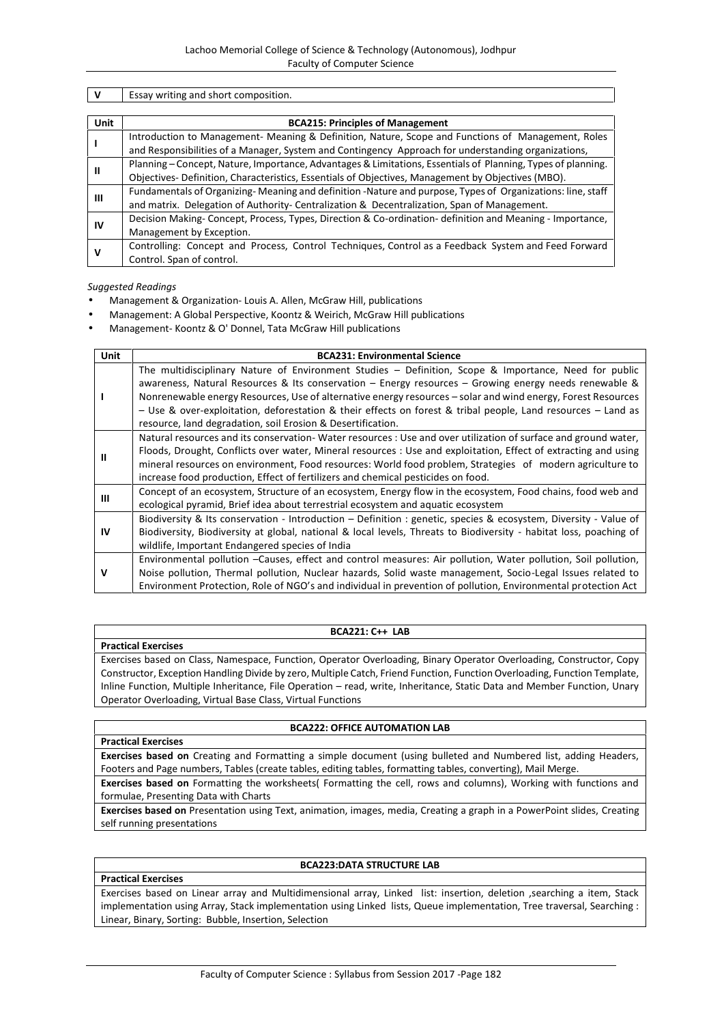| v    | Essay writing and short composition.                                                                         |  |  |  |  |  |  |
|------|--------------------------------------------------------------------------------------------------------------|--|--|--|--|--|--|
|      |                                                                                                              |  |  |  |  |  |  |
| Unit | <b>BCA215: Principles of Management</b>                                                                      |  |  |  |  |  |  |
|      | Introduction to Management- Meaning & Definition, Nature, Scope and Functions of Management, Roles           |  |  |  |  |  |  |
|      | and Responsibilities of a Manager, System and Contingency Approach for understanding organizations,          |  |  |  |  |  |  |
|      | Planning - Concept, Nature, Importance, Advantages & Limitations, Essentials of Planning, Types of planning. |  |  |  |  |  |  |
| Ш    | Objectives-Definition, Characteristics, Essentials of Objectives, Management by Objectives (MBO).            |  |  |  |  |  |  |
|      | Fundamentals of Organizing-Meaning and definition -Nature and purpose, Types of Organizations: line, staff   |  |  |  |  |  |  |
| Ш    | and matrix. Delegation of Authority- Centralization & Decentralization, Span of Management.                  |  |  |  |  |  |  |
| 1V   | Decision Making-Concept, Process, Types, Direction & Co-ordination- definition and Meaning - Importance,     |  |  |  |  |  |  |
|      | Management by Exception.                                                                                     |  |  |  |  |  |  |
| v    | Controlling: Concept and Process, Control Techniques, Control as a Feedback System and Feed Forward          |  |  |  |  |  |  |
|      | Control. Span of control.                                                                                    |  |  |  |  |  |  |

- Management & Organization- Louis A. Allen, McGraw Hill, publications
- Management: A Global Perspective, Koontz & Weirich, McGraw Hill publications
- Management- Koontz & O' Donnel, Tata McGraw Hill publications

| <b>Unit</b>  | <b>BCA231: Environmental Science</b>                                                                                                                                                                                      |
|--------------|---------------------------------------------------------------------------------------------------------------------------------------------------------------------------------------------------------------------------|
| $\mathbf{I}$ | The multidisciplinary Nature of Environment Studies - Definition, Scope & Importance, Need for public                                                                                                                     |
|              | awareness, Natural Resources & Its conservation $-$ Energy resources $-$ Growing energy needs renewable &<br>Nonrenewable energy Resources, Use of alternative energy resources - solar and wind energy, Forest Resources |
|              | - Use & over-exploitation, deforestation & their effects on forest & tribal people, Land resources - Land as<br>resource, land degradation, soil Erosion & Desertification.                                               |
|              | Natural resources and its conservation-Water resources : Use and over utilization of surface and ground water,                                                                                                            |
| $\mathbf{I}$ | Floods, Drought, Conflicts over water, Mineral resources : Use and exploitation, Effect of extracting and using                                                                                                           |
|              | mineral resources on environment, Food resources: World food problem, Strategies of modern agriculture to                                                                                                                 |
|              | increase food production, Effect of fertilizers and chemical pesticides on food.                                                                                                                                          |
| Ш            | Concept of an ecosystem, Structure of an ecosystem, Energy flow in the ecosystem, Food chains, food web and                                                                                                               |
|              | ecological pyramid, Brief idea about terrestrial ecosystem and aquatic ecosystem                                                                                                                                          |
|              | Biodiversity & Its conservation - Introduction - Definition : genetic, species & ecosystem, Diversity - Value of                                                                                                          |
| <b>IV</b>    | Biodiversity, Biodiversity at global, national & local levels, Threats to Biodiversity - habitat loss, poaching of                                                                                                        |
|              | wildlife, Important Endangered species of India                                                                                                                                                                           |
|              | Environmental pollution -Causes, effect and control measures: Air pollution, Water pollution, Soil pollution,                                                                                                             |
| v            | Noise pollution, Thermal pollution, Nuclear hazards, Solid waste management, Socio-Legal Issues related to                                                                                                                |
|              | Environment Protection, Role of NGO's and individual in prevention of pollution, Environmental protection Act                                                                                                             |

#### **BCA221: C++ LAB**

Exercises based on Class, Namespace, Function, Operator Overloading, Binary Operator Overloading, Constructor, Copy Constructor, Exception Handling Divide by zero, Multiple Catch, Friend Function, Function Overloading, Function Template, Inline Function, Multiple Inheritance, File Operation – read, write, Inheritance, Static Data and Member Function, Unary Operator Overloading, Virtual Base Class, Virtual Functions

#### **BCA222: OFFICE AUTOMATION LAB**

#### **Exercises based on** Creating and Formatting a simple document (using bulleted and Numbered list, adding Headers, Footers and Page numbers, Tables (create tables, editing tables, formatting tables, converting), Mail Merge.

**Exercises based on** Formatting the worksheets( Formatting the cell, rows and columns), Working with functions and formulae, Presenting Data with Charts

**Exercises based on** Presentation using Text, animation, images, media, Creating a graph in a PowerPoint slides, Creating self running presentations

# **Practical Exercises**

**Practical Exercises**

**Practical Exercises**

#### **BCA223:DATA STRUCTURE LAB**

Exercises based on Linear array and Multidimensional array, Linked list: insertion, deletion ,searching a item, Stack implementation using Array, Stack implementation using Linked lists, Queue implementation, Tree traversal, Searching : Linear, Binary, Sorting: Bubble, Insertion, Selection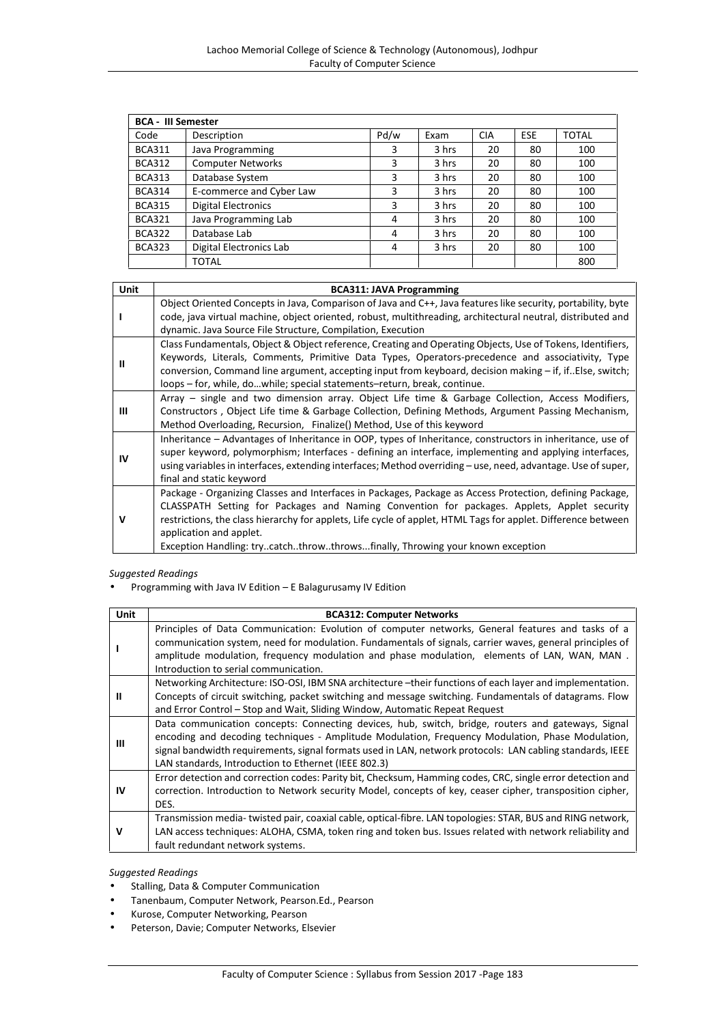| <b>BCA - III Semester</b> |                            |      |       |            |            |       |
|---------------------------|----------------------------|------|-------|------------|------------|-------|
| Code                      | Description                | Pd/w | Exam  | <b>CIA</b> | <b>ESE</b> | TOTAL |
| <b>BCA311</b>             | Java Programming           | 3    | 3 hrs | 20         | 80         | 100   |
| <b>BCA312</b>             | <b>Computer Networks</b>   | 3    | 3 hrs | 20         | 80         | 100   |
| <b>BCA313</b>             | Database System            | 3    | 3 hrs | 20         | 80         | 100   |
| <b>BCA314</b>             | E-commerce and Cyber Law   | 3    | 3 hrs | 20         | 80         | 100   |
| <b>BCA315</b>             | <b>Digital Electronics</b> | 3    | 3 hrs | 20         | 80         | 100   |
| <b>BCA321</b>             | Java Programming Lab       | 4    | 3 hrs | 20         | 80         | 100   |
| <b>BCA322</b>             | Database Lab               | 4    | 3 hrs | 20         | 80         | 100   |
| <b>BCA323</b>             | Digital Electronics Lab    | 4    | 3 hrs | 20         | 80         | 100   |
|                           | <b>TOTAL</b>               |      |       |            |            | 800   |

| Unit | <b>BCA311: JAVA Programming</b>                                                                                                                                                                                                                                                                                                                                 |
|------|-----------------------------------------------------------------------------------------------------------------------------------------------------------------------------------------------------------------------------------------------------------------------------------------------------------------------------------------------------------------|
|      | Object Oriented Concepts in Java, Comparison of Java and C++, Java features like security, portability, byte<br>code, java virtual machine, object oriented, robust, multithreading, architectural neutral, distributed and                                                                                                                                     |
|      | dynamic. Java Source File Structure, Compilation, Execution                                                                                                                                                                                                                                                                                                     |
| Ш    | Class Fundamentals, Object & Object reference, Creating and Operating Objects, Use of Tokens, Identifiers,                                                                                                                                                                                                                                                      |
|      | Keywords, Literals, Comments, Primitive Data Types, Operators-precedence and associativity, Type<br>conversion, Command line argument, accepting input from keyboard, decision making – if, if. Else, switch;                                                                                                                                                   |
|      | loops – for, while, dowhile; special statements–return, break, continue.                                                                                                                                                                                                                                                                                        |
| ш    | Array – single and two dimension array. Object Life time & Garbage Collection, Access Modifiers,<br>Constructors, Object Life time & Garbage Collection, Defining Methods, Argument Passing Mechanism,                                                                                                                                                          |
|      | Method Overloading, Recursion, Finalize() Method, Use of this keyword                                                                                                                                                                                                                                                                                           |
| IV   | Inheritance – Advantages of Inheritance in OOP, types of Inheritance, constructors in inheritance, use of<br>super keyword, polymorphism; Interfaces - defining an interface, implementing and applying interfaces,<br>using variables in interfaces, extending interfaces; Method overriding – use, need, advantage. Use of super,<br>final and static keyword |
| ν    | Package - Organizing Classes and Interfaces in Packages, Package as Access Protection, defining Package,<br>CLASSPATH Setting for Packages and Naming Convention for packages. Applets, Applet security<br>restrictions, the class hierarchy for applets, Life cycle of applet, HTML Tags for applet. Difference between                                        |
|      | application and applet.<br>Exception Handling: trycatchthrowthrowsfinally, Throwing your known exception                                                                                                                                                                                                                                                        |

Programming with Java IV Edition – E Balagurusamy IV Edition

| Unit | <b>BCA312: Computer Networks</b>                                                                           |
|------|------------------------------------------------------------------------------------------------------------|
|      | Principles of Data Communication: Evolution of computer networks, General features and tasks of a          |
|      | communication system, need for modulation. Fundamentals of signals, carrier waves, general principles of   |
|      | amplitude modulation, frequency modulation and phase modulation, elements of LAN, WAN, MAN.                |
|      | Introduction to serial communication.                                                                      |
|      | Networking Architecture: ISO-OSI, IBM SNA architecture -their functions of each layer and implementation.  |
| н    | Concepts of circuit switching, packet switching and message switching. Fundamentals of datagrams. Flow     |
|      | and Error Control – Stop and Wait, Sliding Window, Automatic Repeat Request                                |
|      | Data communication concepts: Connecting devices, hub, switch, bridge, routers and gateways, Signal         |
| ш    | encoding and decoding techniques - Amplitude Modulation, Frequency Modulation, Phase Modulation,           |
|      | signal bandwidth requirements, signal formats used in LAN, network protocols: LAN cabling standards, IEEE  |
|      | LAN standards, Introduction to Ethernet (IEEE 802.3)                                                       |
|      | Error detection and correction codes: Parity bit, Checksum, Hamming codes, CRC, single error detection and |
| IV   | correction. Introduction to Network security Model, concepts of key, ceaser cipher, transposition cipher,  |
|      | DES.                                                                                                       |
|      | Transmission media-twisted pair, coaxial cable, optical-fibre. LAN topologies: STAR, BUS and RING network, |
| v    | LAN access techniques: ALOHA, CSMA, token ring and token bus. Issues related with network reliability and  |
|      | fault redundant network systems.                                                                           |

*Suggested Readings*

- **•** Stalling, Data & Computer Communication
- Tanenbaum, Computer Network, Pearson.Ed., Pearson
- Kurose, Computer Networking, Pearson
- Peterson, Davie; Computer Networks, Elsevier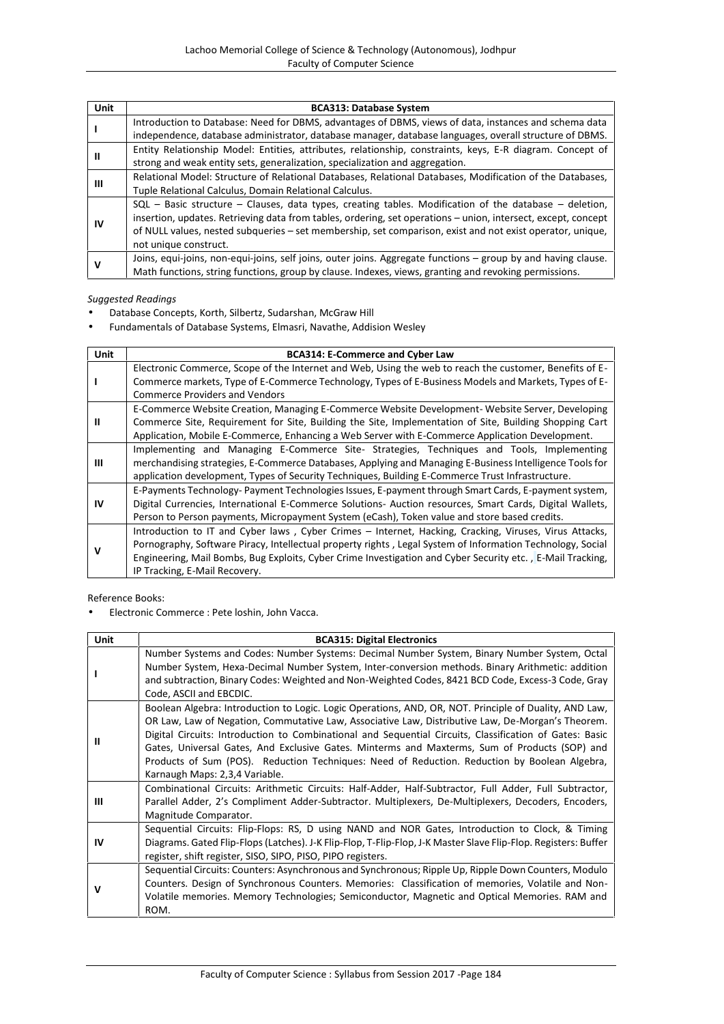| Unit | <b>BCA313: Database System</b>                                                                                |
|------|---------------------------------------------------------------------------------------------------------------|
|      | Introduction to Database: Need for DBMS, advantages of DBMS, views of data, instances and schema data         |
|      | independence, database administrator, database manager, database languages, overall structure of DBMS.        |
| Ш    | Entity Relationship Model: Entities, attributes, relationship, constraints, keys, E-R diagram. Concept of     |
|      | strong and weak entity sets, generalization, specialization and aggregation.                                  |
|      | Relational Model: Structure of Relational Databases, Relational Databases, Modification of the Databases,     |
| ш    | Tuple Relational Calculus, Domain Relational Calculus.                                                        |
|      | $SQL$ – Basic structure – Clauses, data types, creating tables. Modification of the database – deletion,      |
|      | insertion, updates. Retrieving data from tables, ordering, set operations - union, intersect, except, concept |
| 1V   | of NULL values, nested subqueries – set membership, set comparison, exist and not exist operator, unique,     |
|      | not unique construct.                                                                                         |
|      | Joins, equi-joins, non-equi-joins, self joins, outer joins. Aggregate functions - group by and having clause. |
| ν    | Math functions, string functions, group by clause. Indexes, views, granting and revoking permissions.         |

- Database Concepts, Korth, Silbertz, Sudarshan, McGraw Hill
- Fundamentals of Database Systems, Elmasri, Navathe, Addision Wesley

| Unit | <b>BCA314: E-Commerce and Cyber Law</b>                                                                                                                                                                                                                                                                                                                             |  |  |  |  |  |  |
|------|---------------------------------------------------------------------------------------------------------------------------------------------------------------------------------------------------------------------------------------------------------------------------------------------------------------------------------------------------------------------|--|--|--|--|--|--|
|      | Electronic Commerce, Scope of the Internet and Web, Using the web to reach the customer, Benefits of E-<br>Commerce markets, Type of E-Commerce Technology, Types of E-Business Models and Markets, Types of E-<br><b>Commerce Providers and Vendors</b>                                                                                                            |  |  |  |  |  |  |
| Ш    | E-Commerce Website Creation, Managing E-Commerce Website Development- Website Server, Developing<br>Commerce Site, Requirement for Site, Building the Site, Implementation of Site, Building Shopping Cart<br>Application, Mobile E-Commerce, Enhancing a Web Server with E-Commerce Application Development.                                                       |  |  |  |  |  |  |
| Ш    | Implementing and Managing E-Commerce Site- Strategies, Techniques and Tools, Implementing<br>merchandising strategies, E-Commerce Databases, Applying and Managing E-Business Intelligence Tools for<br>application development, Types of Security Techniques, Building E-Commerce Trust Infrastructure.                                                            |  |  |  |  |  |  |
| IV   | E-Payments Technology- Payment Technologies Issues, E-payment through Smart Cards, E-payment system,<br>Digital Currencies, International E-Commerce Solutions- Auction resources, Smart Cards, Digital Wallets,<br>Person to Person payments, Micropayment System (eCash), Token value and store based credits.                                                    |  |  |  |  |  |  |
| v    | Introduction to IT and Cyber laws, Cyber Crimes - Internet, Hacking, Cracking, Viruses, Virus Attacks,<br>Pornography, Software Piracy, Intellectual property rights, Legal System of Information Technology, Social<br>Engineering, Mail Bombs, Bug Exploits, Cyber Crime Investigation and Cyber Security etc., E-Mail Tracking,<br>IP Tracking, E-Mail Recovery. |  |  |  |  |  |  |

Reference Books:

Electronic Commerce : Pete loshin, John Vacca.

| Unit | <b>BCA315: Digital Electronics</b>                                                                                                                                                                                                                                                                                                                                                                                                                                                                                                                         |
|------|------------------------------------------------------------------------------------------------------------------------------------------------------------------------------------------------------------------------------------------------------------------------------------------------------------------------------------------------------------------------------------------------------------------------------------------------------------------------------------------------------------------------------------------------------------|
|      | Number Systems and Codes: Number Systems: Decimal Number System, Binary Number System, Octal<br>Number System, Hexa-Decimal Number System, Inter-conversion methods. Binary Arithmetic: addition<br>and subtraction, Binary Codes: Weighted and Non-Weighted Codes, 8421 BCD Code, Excess-3 Code, Gray<br>Code, ASCII and EBCDIC.                                                                                                                                                                                                                          |
| Ш    | Boolean Algebra: Introduction to Logic. Logic Operations, AND, OR, NOT. Principle of Duality, AND Law,<br>OR Law, Law of Negation, Commutative Law, Associative Law, Distributive Law, De-Morgan's Theorem.<br>Digital Circuits: Introduction to Combinational and Sequential Circuits, Classification of Gates: Basic<br>Gates, Universal Gates, And Exclusive Gates. Minterms and Maxterms, Sum of Products (SOP) and<br>Products of Sum (POS). Reduction Techniques: Need of Reduction. Reduction by Boolean Algebra,<br>Karnaugh Maps: 2,3,4 Variable. |
| Ш    | Combinational Circuits: Arithmetic Circuits: Half-Adder, Half-Subtractor, Full Adder, Full Subtractor,<br>Parallel Adder, 2's Compliment Adder-Subtractor. Multiplexers, De-Multiplexers, Decoders, Encoders,<br>Magnitude Comparator.                                                                                                                                                                                                                                                                                                                     |
| IV   | Sequential Circuits: Flip-Flops: RS, D using NAND and NOR Gates, Introduction to Clock, & Timing<br>Diagrams. Gated Flip-Flops (Latches). J-K Flip-Flop, T-Flip-Flop, J-K Master Slave Flip-Flop. Registers: Buffer<br>register, shift register, SISO, SIPO, PISO, PIPO registers.                                                                                                                                                                                                                                                                         |
| v    | Sequential Circuits: Counters: Asynchronous and Synchronous; Ripple Up, Ripple Down Counters, Modulo<br>Counters. Design of Synchronous Counters. Memories: Classification of memories, Volatile and Non-<br>Volatile memories. Memory Technologies; Semiconductor, Magnetic and Optical Memories. RAM and<br>ROM.                                                                                                                                                                                                                                         |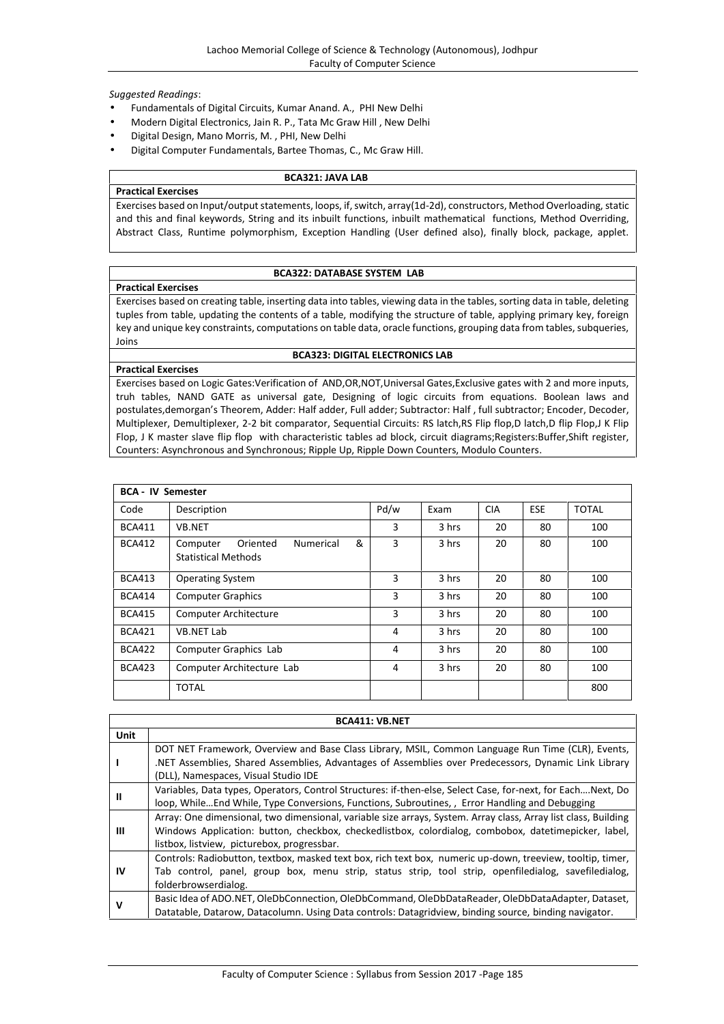- Fundamentals of Digital Circuits, Kumar Anand. A., PHI New Delhi
- Modern Digital Electronics, Jain R. P., Tata Mc Graw Hill , New Delhi
- Digital Design, Mano Morris, M. , PHI, New Delhi
- Digital Computer Fundamentals, Bartee Thomas, C., Mc Graw Hill.

#### **BCA321: JAVA LAB**

**Practical Exercises** Exercises based on Input/output statements, loops, if, switch, array(1d-2d), constructors, Method Overloading, static and this and final keywords, String and its inbuilt functions, inbuilt mathematical functions, Method Overriding, Abstract Class, Runtime polymorphism, Exception Handling (User defined also), finally block, package, applet.

### **BCA322: DATABASE SYSTEM LAB**

Exercises based on creating table, inserting data into tables, viewing data in the tables, sorting data in table, deleting tuples from table, updating the contents of a table, modifying the structure of table, applying primary key, foreign key and unique key constraints, computations on table data, oracle functions, grouping data from tables, subqueries, Joins

### **BCA323: DIGITAL ELECTRONICS LAB**

### **Practical Exercises**

**Practical Exercises**

Exercises based on Logic Gates:Verification of AND,OR,NOT,Universal Gates,Exclusive gates with 2 and more inputs, truh tables, NAND GATE as universal gate, Designing of logic circuits from equations. Boolean laws and postulates,demorgan's Theorem, Adder: Half adder, Full adder; Subtractor: Half , full subtractor; Encoder, Decoder, Multiplexer, Demultiplexer, 2-2 bit comparator, Sequential Circuits: RS latch,RS Flip flop,D latch,D flip Flop,J K Flip Flop, J K master slave flip flop with characteristic tables ad block, circuit diagrams;Registers:Buffer,Shift register, Counters: Asynchronous and Synchronous; Ripple Up, Ripple Down Counters, Modulo Counters.

| <b>BCA - IV Semester</b> |                                                                             |      |       |            |            |              |
|--------------------------|-----------------------------------------------------------------------------|------|-------|------------|------------|--------------|
| Code                     | Description                                                                 | Pd/w | Exam  | <b>CIA</b> | <b>ESE</b> | <b>TOTAL</b> |
| <b>BCA411</b>            | <b>VB.NET</b>                                                               | 3    | 3 hrs | 20         | 80         | 100          |
| <b>BCA412</b>            | &<br>Oriented<br><b>Numerical</b><br>Computer<br><b>Statistical Methods</b> | 3    | 3 hrs | 20         | 80         | 100          |
| <b>BCA413</b>            | <b>Operating System</b>                                                     | 3    | 3 hrs | 20         | 80         | 100          |
| <b>BCA414</b>            | <b>Computer Graphics</b>                                                    | 3    | 3 hrs | 20         | 80         | 100          |
| <b>BCA415</b>            | Computer Architecture                                                       | 3    | 3 hrs | 20         | 80         | 100          |
| <b>BCA421</b>            | <b>VB.NET Lab</b>                                                           | 4    | 3 hrs | 20         | 80         | 100          |
| <b>BCA422</b>            | Computer Graphics Lab                                                       | 4    | 3 hrs | 20         | 80         | 100          |
| <b>BCA423</b>            | Computer Architecture Lab                                                   | 4    | 3 hrs | 20         | 80         | 100          |
|                          | <b>TOTAL</b>                                                                |      |       |            |            | 800          |

| <b>BCA411: VB.NET</b> |                                                                                                                                                                                                                                                                       |  |  |  |
|-----------------------|-----------------------------------------------------------------------------------------------------------------------------------------------------------------------------------------------------------------------------------------------------------------------|--|--|--|
| <b>Unit</b>           |                                                                                                                                                                                                                                                                       |  |  |  |
|                       | DOT NET Framework, Overview and Base Class Library, MSIL, Common Language Run Time (CLR), Events,<br>NET Assemblies, Shared Assemblies, Advantages of Assemblies over Predecessors, Dynamic Link Library.<br>(DLL), Namespaces, Visual Studio IDE                     |  |  |  |
| Ш                     | Variables, Data types, Operators, Control Structures: if-then-else, Select Case, for-next, for EachNext, Do<br>loop, While End While, Type Conversions, Functions, Subroutines, , Error Handling and Debugging                                                        |  |  |  |
| Ш                     | Array: One dimensional, two dimensional, variable size arrays, System. Array class, Array list class, Building<br>Windows Application: button, checkbox, checkedlistbox, colordialog, combobox, datetimepicker, label,<br>listbox, listview, picturebox, progressbar. |  |  |  |
| IV                    | Controls: Radiobutton, textbox, masked text box, rich text box, numeric up-down, treeview, tooltip, timer,<br>Tab control, panel, group box, menu strip, status strip, tool strip, openfiledialog, savefiledialog,<br>folderbrowserdialog.                            |  |  |  |
| ν                     | Basic Idea of ADO.NET, OleDbConnection, OleDbCommand, OleDbDataReader, OleDbDataAdapter, Dataset,<br>Datatable, Datarow, Datacolumn. Using Data controls: Datagridview, binding source, binding navigator.                                                            |  |  |  |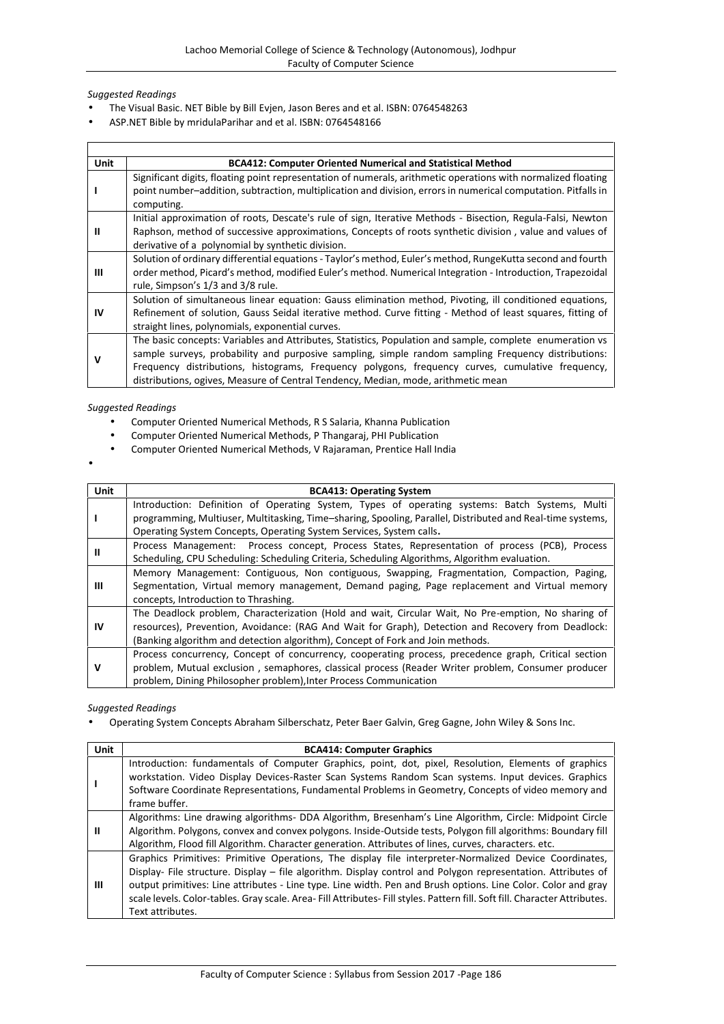- The Visual Basic. NET Bible by Bill Evjen, Jason Beres and et al. ISBN: 0764548263
- ASP.NET Bible by mridulaParihar and et al. ISBN: 0764548166

| <b>Unit</b> | <b>BCA412: Computer Oriented Numerical and Statistical Method</b>                                                                                                                                                                                                                                                                                                                                        |
|-------------|----------------------------------------------------------------------------------------------------------------------------------------------------------------------------------------------------------------------------------------------------------------------------------------------------------------------------------------------------------------------------------------------------------|
|             | Significant digits, floating point representation of numerals, arithmetic operations with normalized floating<br>point number-addition, subtraction, multiplication and division, errors in numerical computation. Pitfalls in<br>computing.                                                                                                                                                             |
| Ш           | Initial approximation of roots, Descate's rule of sign, Iterative Methods - Bisection, Regula-Falsi, Newton<br>Raphson, method of successive approximations, Concepts of roots synthetic division, value and values of<br>derivative of a polynomial by synthetic division.                                                                                                                              |
| Ш           | Solution of ordinary differential equations - Taylor's method, Euler's method, RungeKutta second and fourth<br>order method, Picard's method, modified Euler's method. Numerical Integration - Introduction, Trapezoidal<br>rule, Simpson's 1/3 and 3/8 rule.                                                                                                                                            |
| IV          | Solution of simultaneous linear equation: Gauss elimination method, Pivoting, ill conditioned equations,<br>Refinement of solution, Gauss Seidal iterative method. Curve fitting - Method of least squares, fitting of<br>straight lines, polynomials, exponential curves.                                                                                                                               |
| v           | The basic concepts: Variables and Attributes, Statistics, Population and sample, complete enumeration vs<br>sample surveys, probability and purposive sampling, simple random sampling Frequency distributions:<br>Frequency distributions, histograms, Frequency polygons, frequency curves, cumulative frequency,<br>distributions, ogives, Measure of Central Tendency, Median, mode, arithmetic mean |

### *Suggested Readings*

- Computer Oriented Numerical Methods, R S Salaria, Khanna Publication
- Computer Oriented Numerical Methods, P Thangaraj, PHI Publication
- Computer Oriented Numerical Methods, V Rajaraman, Prentice Hall India
- $\bullet$  and  $\bullet$

| Unit        | <b>BCA413: Operating System</b>                                                                            |
|-------------|------------------------------------------------------------------------------------------------------------|
| -1          | Introduction: Definition of Operating System, Types of operating systems: Batch Systems, Multi             |
|             | programming, Multiuser, Multitasking, Time-sharing, Spooling, Parallel, Distributed and Real-time systems, |
|             | Operating System Concepts, Operating System Services, System calls.                                        |
|             | Process Management: Process concept, Process States, Representation of process (PCB), Process              |
| Ш           | Scheduling, CPU Scheduling: Scheduling Criteria, Scheduling Algorithms, Algorithm evaluation.              |
|             | Memory Management: Contiguous, Non contiguous, Swapping, Fragmentation, Compaction, Paging,                |
| Ш           | Segmentation, Virtual memory management, Demand paging, Page replacement and Virtual memory                |
|             | concepts, Introduction to Thrashing.                                                                       |
|             | The Deadlock problem, Characterization (Hold and wait, Circular Wait, No Pre-emption, No sharing of        |
| IV          | resources), Prevention, Avoidance: (RAG And Wait for Graph), Detection and Recovery from Deadlock:         |
|             | (Banking algorithm and detection algorithm), Concept of Fork and Join methods.                             |
|             | Process concurrency, Concept of concurrency, cooperating process, precedence graph, Critical section       |
| $\mathbf v$ | problem, Mutual exclusion, semaphores, classical process (Reader Writer problem, Consumer producer         |
|             | problem, Dining Philosopher problem), Inter Process Communication                                          |

### *Suggested Readings*

Operating System Concepts Abraham Silberschatz, Peter Baer Galvin, Greg Gagne, John Wiley & Sons Inc.

| <b>Unit</b> | <b>BCA414: Computer Graphics</b>                                                                                                                                                                                                                                                                                                                                                                                                                                                          |
|-------------|-------------------------------------------------------------------------------------------------------------------------------------------------------------------------------------------------------------------------------------------------------------------------------------------------------------------------------------------------------------------------------------------------------------------------------------------------------------------------------------------|
|             | Introduction: fundamentals of Computer Graphics, point, dot, pixel, Resolution, Elements of graphics<br>workstation. Video Display Devices-Raster Scan Systems Random Scan systems. Input devices. Graphics<br>Software Coordinate Representations, Fundamental Problems in Geometry, Concepts of video memory and<br>frame buffer.                                                                                                                                                       |
|             | Algorithms: Line drawing algorithms- DDA Algorithm, Bresenham's Line Algorithm, Circle: Midpoint Circle<br>Algorithm. Polygons, convex and convex polygons. Inside-Outside tests, Polygon fill algorithms: Boundary fill<br>Algorithm, Flood fill Algorithm. Character generation. Attributes of lines, curves, characters. etc.                                                                                                                                                          |
| Ш           | Graphics Primitives: Primitive Operations, The display file interpreter-Normalized Device Coordinates,<br>Display- File structure. Display - file algorithm. Display control and Polygon representation. Attributes of<br>output primitives: Line attributes - Line type. Line width. Pen and Brush options. Line Color. Color and gray<br>scale levels. Color-tables. Gray scale. Area- Fill Attributes- Fill styles. Pattern fill. Soft fill. Character Attributes.<br>Text attributes. |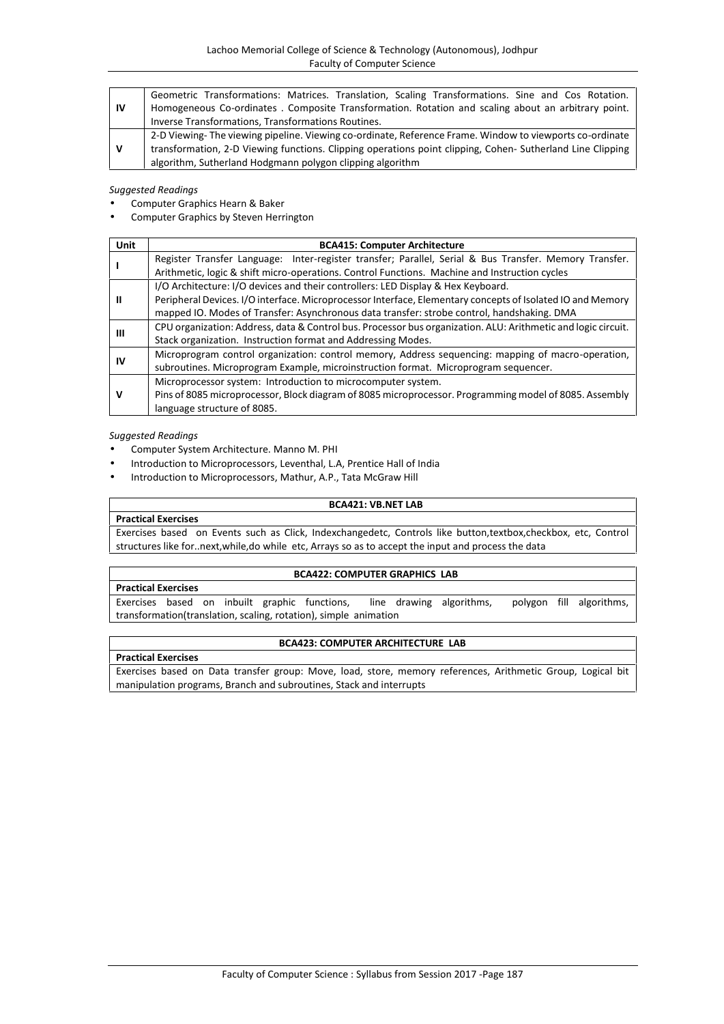| - IV | Geometric Transformations: Matrices. Translation, Scaling Transformations. Sine and Cos Rotation.         |
|------|-----------------------------------------------------------------------------------------------------------|
|      | Homogeneous Co-ordinates. Composite Transformation. Rotation and scaling about an arbitrary point.        |
|      | Inverse Transformations, Transformations Routines.                                                        |
|      | 2-D Viewing-The viewing pipeline. Viewing co-ordinate, Reference Frame. Window to viewports co-ordinate   |
| v    | transformation, 2-D Viewing functions. Clipping operations point clipping, Cohen-Sutherland Line Clipping |
|      | algorithm, Sutherland Hodgmann polygon clipping algorithm                                                 |

- Computer Graphics Hearn & Baker
- Computer Graphics by Steven Herrington

| Unit | <b>BCA415: Computer Architecture</b>                                                                          |
|------|---------------------------------------------------------------------------------------------------------------|
|      | Register Transfer Language: Inter-register transfer; Parallel, Serial & Bus Transfer. Memory Transfer.        |
|      | Arithmetic, logic & shift micro-operations. Control Functions. Machine and Instruction cycles                 |
| Ш    | I/O Architecture: I/O devices and their controllers: LED Display & Hex Keyboard.                              |
|      | Peripheral Devices. I/O interface. Microprocessor Interface, Elementary concepts of Isolated IO and Memory    |
|      | mapped IO. Modes of Transfer: Asynchronous data transfer: strobe control, handshaking. DMA                    |
| Ш    | CPU organization: Address, data & Control bus. Processor bus organization. ALU: Arithmetic and logic circuit. |
|      | Stack organization. Instruction format and Addressing Modes.                                                  |
| ιv   | Microprogram control organization: control memory, Address sequencing: mapping of macro-operation,            |
|      | subroutines. Microprogram Example, microinstruction format. Microprogram sequencer.                           |
|      | Microprocessor system: Introduction to microcomputer system.                                                  |
|      | Pins of 8085 microprocessor, Block diagram of 8085 microprocessor. Programming model of 8085. Assembly        |
|      | language structure of 8085.                                                                                   |

#### *Suggested Readings*

- Computer System Architecture. Manno M. PHI
- Introduction to Microprocessors, Leventhal, L.A, Prentice Hall of India
- Introduction to Microprocessors, Mathur, A.P., Tata McGraw Hill

#### **BCA421: VB.NET LAB**

#### **Practical Exercises**

Exercises based on Events such as Click, Indexchangedetc, Controls like button,textbox,checkbox, etc, Control structures like for..next,while,do while etc, Arrays so as to accept the input and process the data

#### **BCA422: COMPUTER GRAPHICS LAB**

#### **Practical Exercises**

Exercises based on inbuilt graphic functions, line drawing algorithms, polygon fill algorithms, transformation(translation, scaling, rotation), simple animation

# **BCA423: COMPUTER ARCHITECTURE LAB**

### **Practical Exercises** Exercises based on Data transfer group: Move, load, store, memory references, Arithmetic Group, Logical bit manipulation programs, Branch and subroutines, Stack and interrupts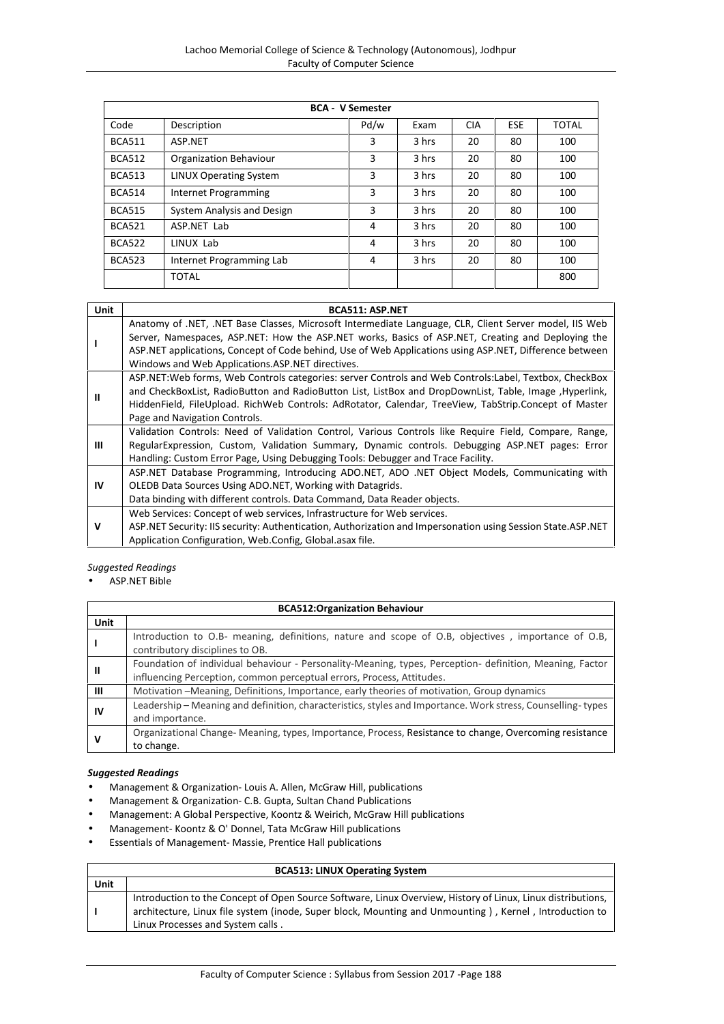|               | <b>BCA - V Semester</b>       |      |       |            |            |              |
|---------------|-------------------------------|------|-------|------------|------------|--------------|
| Code          | Description                   | Pd/w | Exam  | <b>CIA</b> | <b>ESE</b> | <b>TOTAL</b> |
| <b>BCA511</b> | ASP.NET                       | 3    | 3 hrs | 20         | 80         | 100          |
| <b>BCA512</b> | Organization Behaviour        | 3    | 3 hrs | 20         | 80         | 100          |
| <b>BCA513</b> | <b>LINUX Operating System</b> | 3    | 3 hrs | 20         | 80         | 100          |
| <b>BCA514</b> | Internet Programming          | 3    | 3 hrs | 20         | 80         | 100          |
| <b>BCA515</b> | System Analysis and Design    | 3    | 3 hrs | 20         | 80         | 100          |
| <b>BCA521</b> | ASP.NET Lab                   | 4    | 3 hrs | 20         | 80         | 100          |
| <b>BCA522</b> | LINUX Lab                     | 4    | 3 hrs | 20         | 80         | 100          |
| <b>BCA523</b> | Internet Programming Lab      | 4    | 3 hrs | 20         | 80         | 100          |
|               | TOTAL                         |      |       |            |            | 800          |

| <b>Unit</b> | <b>BCA511: ASP.NET</b>                                                                                         |
|-------------|----------------------------------------------------------------------------------------------------------------|
|             | Anatomy of .NET, .NET Base Classes, Microsoft Intermediate Language, CLR, Client Server model, IIS Web         |
|             | Server, Namespaces, ASP.NET: How the ASP.NET works, Basics of ASP.NET, Creating and Deploying the              |
|             | ASP.NET applications, Concept of Code behind, Use of Web Applications using ASP.NET, Difference between        |
|             | Windows and Web Applications.ASP.NET directives.                                                               |
|             | ASP.NET: Web forms, Web Controls categories: server Controls and Web Controls: Label, Textbox, CheckBox        |
| Ш           | and CheckBoxList, RadioButton and RadioButton List, ListBox and DropDownList, Table, Image, Hyperlink,         |
|             | HiddenField, FileUpload. RichWeb Controls: AdRotator, Calendar, TreeView, TabStrip.Concept of Master           |
|             | Page and Navigation Controls.                                                                                  |
|             | Validation Controls: Need of Validation Control, Various Controls like Reguire Field, Compare, Range,          |
| ш           | RegularExpression, Custom, Validation Summary, Dynamic controls. Debugging ASP.NET pages: Error                |
|             | Handling: Custom Error Page, Using Debugging Tools: Debugger and Trace Facility.                               |
|             | ASP.NET Database Programming, Introducing ADO.NET, ADO .NET Object Models, Communicating with                  |
| IV          | OLEDB Data Sources Using ADO.NET, Working with Datagrids.                                                      |
|             | Data binding with different controls. Data Command, Data Reader objects.                                       |
| v           | Web Services: Concept of web services, Infrastructure for Web services.                                        |
|             | ASP. NET Security: IIS security: Authentication, Authorization and Impersonation using Session State. ASP. NET |
|             | Application Configuration, Web.Config, Global.asax file.                                                       |

### ASP.NET Bible

|      | <b>BCA512:Organization Behaviour</b>                                                                                                                                              |  |  |
|------|-----------------------------------------------------------------------------------------------------------------------------------------------------------------------------------|--|--|
| Unit |                                                                                                                                                                                   |  |  |
|      | Introduction to O.B- meaning, definitions, nature and scope of O.B, objectives, importance of O.B,<br>contributory disciplines to OB.                                             |  |  |
| Ш    | Foundation of individual behaviour - Personality-Meaning, types, Perception- definition, Meaning, Factor<br>influencing Perception, common perceptual errors, Process, Attitudes. |  |  |
| Ш    | Motivation - Meaning, Definitions, Importance, early theories of motivation, Group dynamics                                                                                       |  |  |
| IV   | Leadership - Meaning and definition, characteristics, styles and Importance. Work stress, Counselling-types<br>and importance.                                                    |  |  |
|      | Organizational Change-Meaning, types, Importance, Process, Resistance to change, Overcoming resistance<br>to change.                                                              |  |  |

#### *Suggested Readings*

- Management & Organization- Louis A. Allen, McGraw Hill, publications
- Management & Organization- C.B. Gupta, Sultan Chand Publications
- Management: A Global Perspective, Koontz & Weirich, McGraw Hill publications
- Management- Koontz & O' Donnel, Tata McGraw Hill publications
- Essentials of Management- Massie, Prentice Hall publications

# **BCA513: LINUX Operating System**

| Unit |                                                                                                             |
|------|-------------------------------------------------------------------------------------------------------------|
|      | Introduction to the Concept of Open Source Software, Linux Overview, History of Linux, Linux distributions, |
|      | architecture, Linux file system (inode, Super block, Mounting and Unmounting), Kernel, Introduction to      |
|      | Linux Processes and System calls.                                                                           |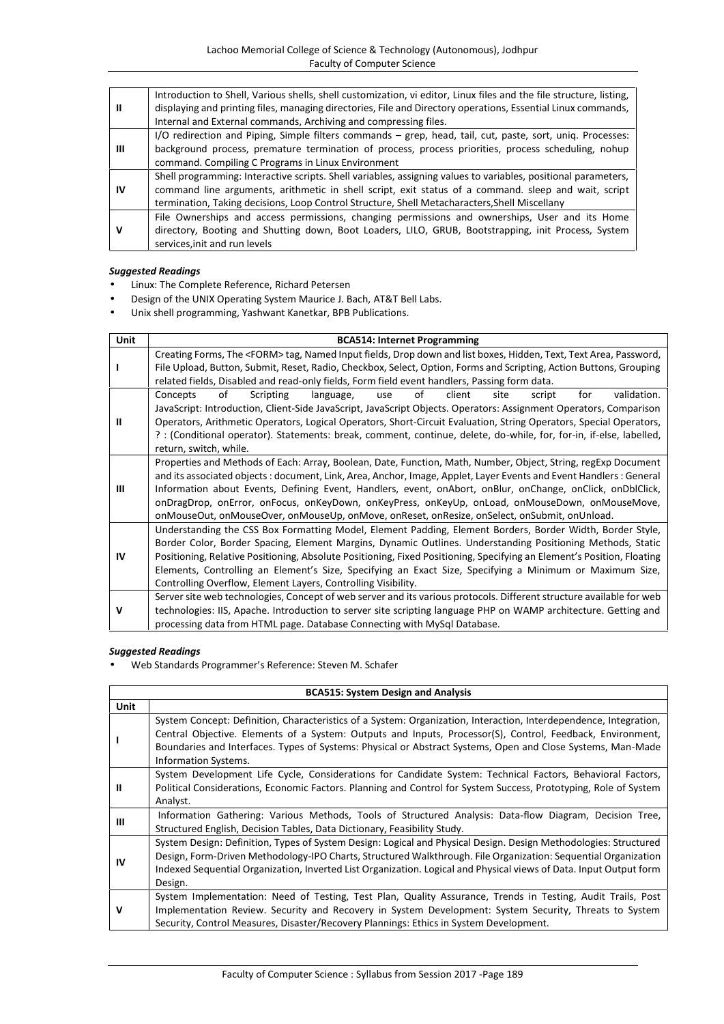|    | Introduction to Shell, Various shells, shell customization, vi editor, Linux files and the file structure, listing, |
|----|---------------------------------------------------------------------------------------------------------------------|
| Ш  | displaying and printing files, managing directories, File and Directory operations, Essential Linux commands,       |
|    | Internal and External commands, Archiving and compressing files.                                                    |
|    | I/O redirection and Piping, Simple filters commands - grep, head, tail, cut, paste, sort, uniq. Processes:          |
| Ш  | background process, premature termination of process, process priorities, process scheduling, nohup                 |
|    | command. Compiling C Programs in Linux Environment                                                                  |
|    | Shell programming: Interactive scripts. Shell variables, assigning values to variables, positional parameters,      |
| IV | command line arguments, arithmetic in shell script, exit status of a command. sleep and wait, script                |
|    | termination, Taking decisions, Loop Control Structure, Shell Metacharacters, Shell Miscellany                       |
|    | File Ownerships and access permissions, changing permissions and ownerships, User and its Home                      |
| v  | directory, Booting and Shutting down, Boot Loaders, LILO, GRUB, Bootstrapping, init Process, System                 |
|    | services, init and run levels                                                                                       |

- Linux: The Complete Reference, Richard Petersen
- Design of the UNIX Operating System Maurice J. Bach, AT&T Bell Labs.
- Unix shell programming, Yashwant Kanetkar, BPB Publications.

| <b>Unit</b> | <b>BCA514: Internet Programming</b>                                                                                                                                                                                                                                                                                                                                                                                                                                                                                                                   |  |  |  |
|-------------|-------------------------------------------------------------------------------------------------------------------------------------------------------------------------------------------------------------------------------------------------------------------------------------------------------------------------------------------------------------------------------------------------------------------------------------------------------------------------------------------------------------------------------------------------------|--|--|--|
|             | Creating Forms, The <form>tag, Named Input fields, Drop down and list boxes, Hidden, Text, Text Area, Password,<br/>File Upload, Button, Submit, Reset, Radio, Checkbox, Select, Option, Forms and Scripting, Action Buttons, Grouping<br/>related fields, Disabled and read-only fields, Form field event handlers, Passing form data.</form>                                                                                                                                                                                                        |  |  |  |
| Ш           | of<br>Scripting<br>validation.<br>Concepts<br>language,<br>of<br>client<br>site<br><b>use</b><br>script<br>for<br>JavaScript: Introduction, Client-Side JavaScript, JavaScript Objects. Operators: Assignment Operators, Comparison<br>Operators, Arithmetic Operators, Logical Operators, Short-Circuit Evaluation, String Operators, Special Operators,<br>?: (Conditional operator). Statements: break, comment, continue, delete, do-while, for, for-in, if-else, labelled,<br>return, switch, while.                                             |  |  |  |
| Ш           | Properties and Methods of Each: Array, Boolean, Date, Function, Math, Number, Object, String, regExp Document<br>and its associated objects : document, Link, Area, Anchor, Image, Applet, Layer Events and Event Handlers : General<br>Information about Events, Defining Event, Handlers, event, onAbort, onBlur, onChange, onClick, onDblClick,<br>onDragDrop, onError, onFocus, onKeyDown, onKeyPress, onKeyUp, onLoad, onMouseDown, onMouseMove,<br>onMouseOut, onMouseOver, onMouseUp, onMove, onReset, onResize, onSelect, onSubmit, onUnload. |  |  |  |
| IV          | Understanding the CSS Box Formatting Model, Element Padding, Element Borders, Border Width, Border Style,<br>Border Color, Border Spacing, Element Margins, Dynamic Outlines. Understanding Positioning Methods, Static<br>Positioning, Relative Positioning, Absolute Positioning, Fixed Positioning, Specifying an Element's Position, Floating<br>Elements, Controlling an Element's Size, Specifying an Exact Size, Specifying a Minimum or Maximum Size,<br>Controlling Overflow, Element Layers, Controlling Visibility.                        |  |  |  |
| v           | Server site web technologies, Concept of web server and its various protocols. Different structure available for web<br>technologies: IIS, Apache. Introduction to server site scripting language PHP on WAMP architecture. Getting and<br>processing data from HTML page. Database Connecting with MySql Database.                                                                                                                                                                                                                                   |  |  |  |

### *Suggested Readings*

Web Standards Programmer's Reference: Steven M. Schafer

| <b>BCA515: System Design and Analysis</b> |                                                                                                                                                                                                                                                                                                                                                                     |  |
|-------------------------------------------|---------------------------------------------------------------------------------------------------------------------------------------------------------------------------------------------------------------------------------------------------------------------------------------------------------------------------------------------------------------------|--|
| <b>Unit</b>                               |                                                                                                                                                                                                                                                                                                                                                                     |  |
|                                           | System Concept: Definition, Characteristics of a System: Organization, Interaction, Interdependence, Integration,<br>Central Objective. Elements of a System: Outputs and Inputs, Processor(S), Control, Feedback, Environment,                                                                                                                                     |  |
|                                           | Boundaries and Interfaces. Types of Systems: Physical or Abstract Systems, Open and Close Systems, Man-Made<br>Information Systems.                                                                                                                                                                                                                                 |  |
| Ш                                         | System Development Life Cycle, Considerations for Candidate System: Technical Factors, Behavioral Factors,<br>Political Considerations, Economic Factors. Planning and Control for System Success, Prototyping, Role of System<br>Analyst.                                                                                                                          |  |
| Ш                                         | Information Gathering: Various Methods, Tools of Structured Analysis: Data-flow Diagram, Decision Tree,<br>Structured English, Decision Tables, Data Dictionary, Feasibility Study.                                                                                                                                                                                 |  |
| IV                                        | System Design: Definition, Types of System Design: Logical and Physical Design. Design Methodologies: Structured<br>Design, Form-Driven Methodology-IPO Charts, Structured Walkthrough. File Organization: Sequential Organization<br>Indexed Sequential Organization, Inverted List Organization. Logical and Physical views of Data. Input Output form<br>Design. |  |
| v                                         | System Implementation: Need of Testing, Test Plan, Quality Assurance, Trends in Testing, Audit Trails, Post<br>Implementation Review. Security and Recovery in System Development: System Security, Threats to System<br>Security, Control Measures, Disaster/Recovery Plannings: Ethics in System Development.                                                     |  |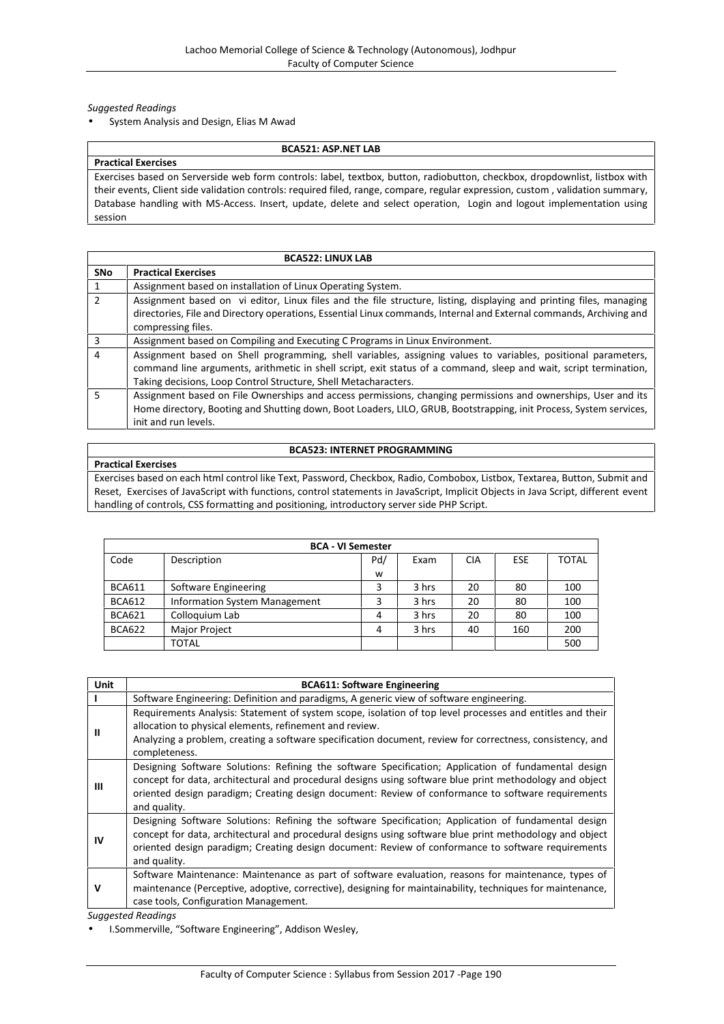System Analysis and Design, Elias M Awad

#### **BCA521: ASP.NET LAB**

**Practical Exercises** Exercises based on Serverside web form controls: label, textbox, button, radiobutton, checkbox, dropdownlist, listbox with their events, Client side validation controls: required filed, range, compare, regular expression, custom , validation summary, Database handling with MS-Access. Insert, update, delete and select operation, Login and logout implementation using session

| <b>BCA522: LINUX LAB</b> |                                                                                                                     |  |  |
|--------------------------|---------------------------------------------------------------------------------------------------------------------|--|--|
| <b>SNo</b>               | <b>Practical Exercises</b>                                                                                          |  |  |
|                          | Assignment based on installation of Linux Operating System.                                                         |  |  |
| $\mathfrak{p}$           | Assignment based on vi editor, Linux files and the file structure, listing, displaying and printing files, managing |  |  |
|                          | directories, File and Directory operations, Essential Linux commands, Internal and External commands, Archiving and |  |  |
|                          | compressing files.                                                                                                  |  |  |
| 3                        | Assignment based on Compiling and Executing C Programs in Linux Environment.                                        |  |  |
| 4                        | Assignment based on Shell programming, shell variables, assigning values to variables, positional parameters,       |  |  |
|                          | command line arguments, arithmetic in shell script, exit status of a command, sleep and wait, script termination,   |  |  |
|                          | Taking decisions, Loop Control Structure, Shell Metacharacters.                                                     |  |  |
| 5.                       | Assignment based on File Ownerships and access permissions, changing permissions and ownerships, User and its       |  |  |
|                          | Home directory, Booting and Shutting down, Boot Loaders, LILO, GRUB, Bootstrapping, init Process, System services,  |  |  |
|                          | init and run levels.                                                                                                |  |  |

### **BCA523: INTERNET PROGRAMMING**

# **Practical Exercises**

Exercises based on each html control like Text, Password, Checkbox, Radio, Combobox, Listbox, Textarea, Button, Submit and Reset, Exercises of JavaScript with functions, control statements in JavaScript, Implicit Objects in Java Script, different event handling of controls, CSS formatting and positioning, introductory server side PHP Script.

| <b>BCA - VI Semester</b> |                                      |     |       |            |            |       |  |  |
|--------------------------|--------------------------------------|-----|-------|------------|------------|-------|--|--|
| Code                     | Description                          | Pd/ | Exam  | <b>CIA</b> | <b>ESE</b> | TOTAL |  |  |
|                          |                                      | W   |       |            |            |       |  |  |
| <b>BCA611</b>            | Software Engineering                 |     | 3 hrs | 20         | 80         | 100   |  |  |
| <b>BCA612</b>            | <b>Information System Management</b> | 3   | 3 hrs | 20         | 80         | 100   |  |  |
| <b>BCA621</b>            | Colloquium Lab                       | 4   | 3 hrs | 20         | 80         | 100   |  |  |
| <b>BCA622</b>            | <b>Major Project</b>                 | 4   | 3 hrs | 40         | 160        | 200   |  |  |
|                          | TOTAL                                |     |       |            |            | 500   |  |  |

| Unit | <b>BCA611: Software Engineering</b>                                                                                                                                                                                                                                                                                                   |
|------|---------------------------------------------------------------------------------------------------------------------------------------------------------------------------------------------------------------------------------------------------------------------------------------------------------------------------------------|
|      | Software Engineering: Definition and paradigms, A generic view of software engineering.                                                                                                                                                                                                                                               |
| Ш    | Requirements Analysis: Statement of system scope, isolation of top level processes and entitles and their<br>allocation to physical elements, refinement and review.<br>Analyzing a problem, creating a software specification document, review for correctness, consistency, and<br>completeness.                                    |
| Ш    | Designing Software Solutions: Refining the software Specification; Application of fundamental design<br>concept for data, architectural and procedural designs using software blue print methodology and object<br>oriented design paradigm; Creating design document: Review of conformance to software requirements<br>and quality. |
| IV   | Designing Software Solutions: Refining the software Specification; Application of fundamental design<br>concept for data, architectural and procedural designs using software blue print methodology and object<br>oriented design paradigm; Creating design document: Review of conformance to software requirements<br>and quality. |
| v    | Software Maintenance: Maintenance as part of software evaluation, reasons for maintenance, types of<br>maintenance (Perceptive, adoptive, corrective), designing for maintainability, techniques for maintenance,<br>case tools, Configuration Management.                                                                            |
|      | <b>Suggested Readings</b>                                                                                                                                                                                                                                                                                                             |

I.Sommerville, "Software Engineering", Addison Wesley,